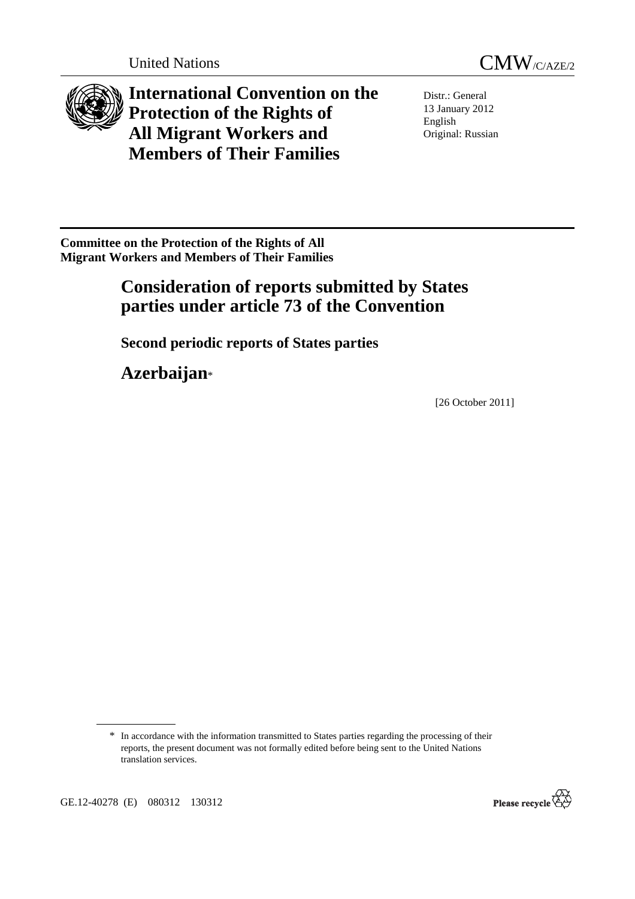



**International Convention on the Protection of the Rights of All Migrant Workers and Members of Their Families**

Distr.: General 13 January 2012 English Original: Russian

**Committee on the Protection of the Rights of All Migrant Workers and Members of Their Families** 

# **Consideration of reports submitted by States parties under article 73 of the Convention**

 **Second periodic reports of States parties** 

 **Azerbaijan**\*

[26 October 2011]



<sup>\*</sup> In accordance with the information transmitted to States parties regarding the processing of their reports, the present document was not formally edited before being sent to the United Nations translation services.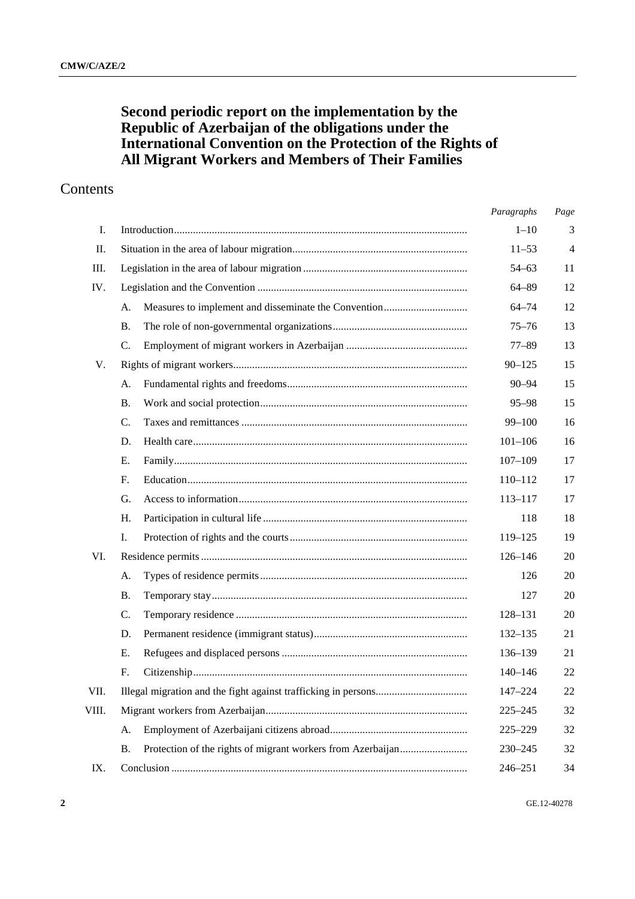# **Second periodic report on the implementation by the Republic of Azerbaijan of the obligations under the International Convention on the Protection of the Rights of All Migrant Workers and Members of Their Families**

# Contents

|       |    | Paragraphs  | Page |
|-------|----|-------------|------|
| Ι.    |    | $1 - 10$    | 3    |
| П.    |    | $11 - 53$   | 4    |
| III.  |    | $54 - 63$   | 11   |
| IV.   |    | $64 - 89$   | 12   |
|       | A. | $64 - 74$   | 12   |
|       | В. | $75 - 76$   | 13   |
|       | C. | $77 - 89$   | 13   |
| V.    |    | $90 - 125$  | 15   |
|       | А. | $90 - 94$   | 15   |
|       | В. | $95 - 98$   | 15   |
|       | C. | $99 - 100$  | 16   |
|       | D. | $101 - 106$ | 16   |
|       | Е. | $107 - 109$ | 17   |
|       | F. | 110-112     | 17   |
|       | G. | $113 - 117$ | 17   |
|       | Н. | 118         | 18   |
|       | Ι. | 119-125     | 19   |
| VI.   |    | 126-146     | 20   |
|       | А. | 126         | 20   |
|       | Β. | 127         | 20   |
|       | C. | 128-131     | 20   |
|       | D. | $132 - 135$ | 21   |
|       | Е. | 136-139     | 21   |
|       | F. | $140 - 146$ | 22   |
| VII.  |    | 147-224     | 22   |
| VIII. |    | $225 - 245$ | 32   |
|       | A. | $225 - 229$ | 32   |
|       | Β. | 230-245     | 32   |
| IX.   |    | 246-251     | 34   |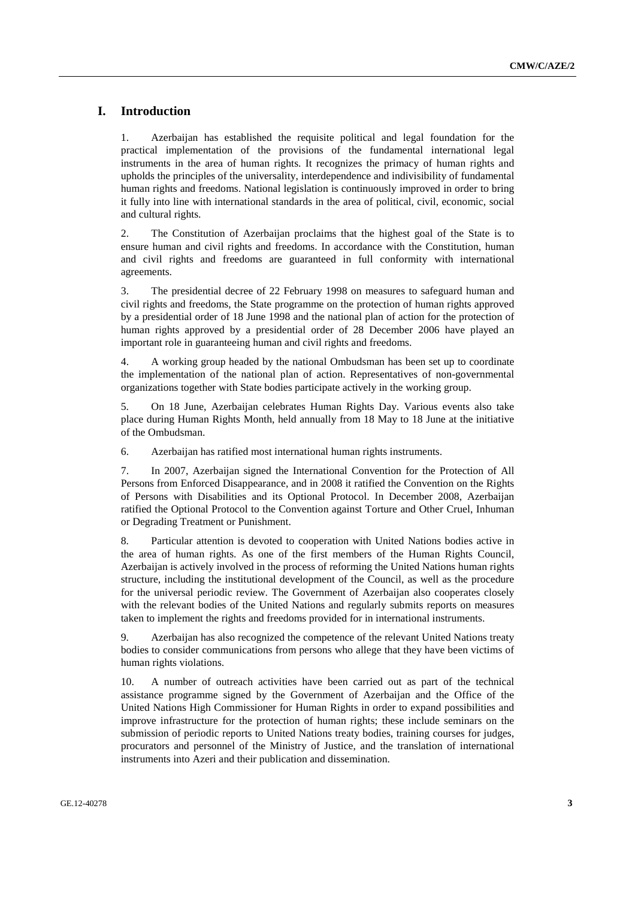### **I. Introduction**

1. Azerbaijan has established the requisite political and legal foundation for the practical implementation of the provisions of the fundamental international legal instruments in the area of human rights. It recognizes the primacy of human rights and upholds the principles of the universality, interdependence and indivisibility of fundamental human rights and freedoms. National legislation is continuously improved in order to bring it fully into line with international standards in the area of political, civil, economic, social and cultural rights.

2. The Constitution of Azerbaijan proclaims that the highest goal of the State is to ensure human and civil rights and freedoms. In accordance with the Constitution, human and civil rights and freedoms are guaranteed in full conformity with international agreements.

3. The presidential decree of 22 February 1998 on measures to safeguard human and civil rights and freedoms, the State programme on the protection of human rights approved by a presidential order of 18 June 1998 and the national plan of action for the protection of human rights approved by a presidential order of 28 December 2006 have played an important role in guaranteeing human and civil rights and freedoms.

4. A working group headed by the national Ombudsman has been set up to coordinate the implementation of the national plan of action. Representatives of non-governmental organizations together with State bodies participate actively in the working group.

5. On 18 June, Azerbaijan celebrates Human Rights Day. Various events also take place during Human Rights Month, held annually from 18 May to 18 June at the initiative of the Ombudsman.

6. Azerbaijan has ratified most international human rights instruments.

7. In 2007, Azerbaijan signed the International Convention for the Protection of All Persons from Enforced Disappearance, and in 2008 it ratified the Convention on the Rights of Persons with Disabilities and its Optional Protocol. In December 2008, Azerbaijan ratified the Optional Protocol to the Convention against Torture and Other Cruel, Inhuman or Degrading Treatment or Punishment.

8. Particular attention is devoted to cooperation with United Nations bodies active in the area of human rights. As one of the first members of the Human Rights Council, Azerbaijan is actively involved in the process of reforming the United Nations human rights structure, including the institutional development of the Council, as well as the procedure for the universal periodic review. The Government of Azerbaijan also cooperates closely with the relevant bodies of the United Nations and regularly submits reports on measures taken to implement the rights and freedoms provided for in international instruments.

9. Azerbaijan has also recognized the competence of the relevant United Nations treaty bodies to consider communications from persons who allege that they have been victims of human rights violations.

10. A number of outreach activities have been carried out as part of the technical assistance programme signed by the Government of Azerbaijan and the Office of the United Nations High Commissioner for Human Rights in order to expand possibilities and improve infrastructure for the protection of human rights; these include seminars on the submission of periodic reports to United Nations treaty bodies, training courses for judges, procurators and personnel of the Ministry of Justice, and the translation of international instruments into Azeri and their publication and dissemination.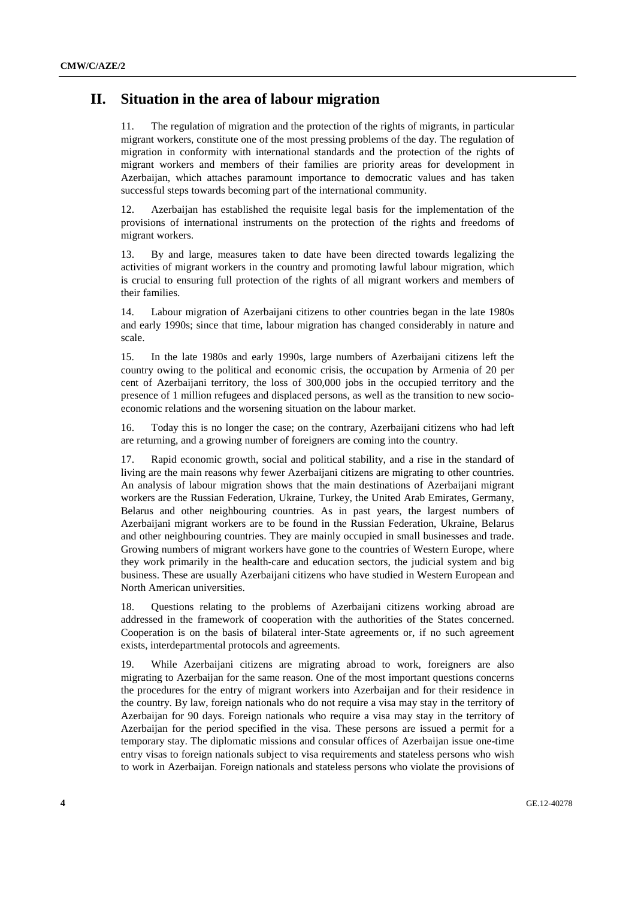### **II. Situation in the area of labour migration**

11. The regulation of migration and the protection of the rights of migrants, in particular migrant workers, constitute one of the most pressing problems of the day. The regulation of migration in conformity with international standards and the protection of the rights of migrant workers and members of their families are priority areas for development in Azerbaijan, which attaches paramount importance to democratic values and has taken successful steps towards becoming part of the international community.

12. Azerbaijan has established the requisite legal basis for the implementation of the provisions of international instruments on the protection of the rights and freedoms of migrant workers.

13. By and large, measures taken to date have been directed towards legalizing the activities of migrant workers in the country and promoting lawful labour migration, which is crucial to ensuring full protection of the rights of all migrant workers and members of their families.

14. Labour migration of Azerbaijani citizens to other countries began in the late 1980s and early 1990s; since that time, labour migration has changed considerably in nature and scale.

15. In the late 1980s and early 1990s, large numbers of Azerbaijani citizens left the country owing to the political and economic crisis, the occupation by Armenia of 20 per cent of Azerbaijani territory, the loss of 300,000 jobs in the occupied territory and the presence of 1 million refugees and displaced persons, as well as the transition to new socioeconomic relations and the worsening situation on the labour market.

16. Today this is no longer the case; on the contrary, Azerbaijani citizens who had left are returning, and a growing number of foreigners are coming into the country.

17. Rapid economic growth, social and political stability, and a rise in the standard of living are the main reasons why fewer Azerbaijani citizens are migrating to other countries. An analysis of labour migration shows that the main destinations of Azerbaijani migrant workers are the Russian Federation, Ukraine, Turkey, the United Arab Emirates, Germany, Belarus and other neighbouring countries. As in past years, the largest numbers of Azerbaijani migrant workers are to be found in the Russian Federation, Ukraine, Belarus and other neighbouring countries. They are mainly occupied in small businesses and trade. Growing numbers of migrant workers have gone to the countries of Western Europe, where they work primarily in the health-care and education sectors, the judicial system and big business. These are usually Azerbaijani citizens who have studied in Western European and North American universities.

18. Questions relating to the problems of Azerbaijani citizens working abroad are addressed in the framework of cooperation with the authorities of the States concerned. Cooperation is on the basis of bilateral inter-State agreements or, if no such agreement exists, interdepartmental protocols and agreements.

19. While Azerbaijani citizens are migrating abroad to work, foreigners are also migrating to Azerbaijan for the same reason. One of the most important questions concerns the procedures for the entry of migrant workers into Azerbaijan and for their residence in the country. By law, foreign nationals who do not require a visa may stay in the territory of Azerbaijan for 90 days. Foreign nationals who require a visa may stay in the territory of Azerbaijan for the period specified in the visa. These persons are issued a permit for a temporary stay. The diplomatic missions and consular offices of Azerbaijan issue one-time entry visas to foreign nationals subject to visa requirements and stateless persons who wish to work in Azerbaijan. Foreign nationals and stateless persons who violate the provisions of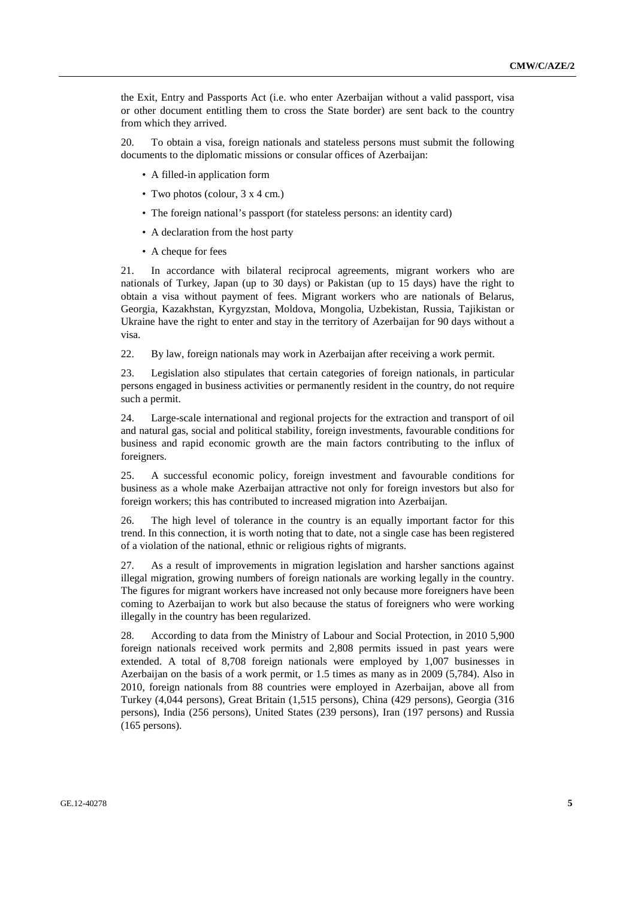the Exit, Entry and Passports Act (i.e. who enter Azerbaijan without a valid passport, visa or other document entitling them to cross the State border) are sent back to the country from which they arrived.

20. To obtain a visa, foreign nationals and stateless persons must submit the following documents to the diplomatic missions or consular offices of Azerbaijan:

- A filled-in application form
- Two photos (colour,  $3 \times 4$  cm.)
- The foreign national's passport (for stateless persons: an identity card)
- A declaration from the host party
- A cheque for fees

21. In accordance with bilateral reciprocal agreements, migrant workers who are nationals of Turkey, Japan (up to 30 days) or Pakistan (up to 15 days) have the right to obtain a visa without payment of fees. Migrant workers who are nationals of Belarus, Georgia, Kazakhstan, Kyrgyzstan, Moldova, Mongolia, Uzbekistan, Russia, Tajikistan or Ukraine have the right to enter and stay in the territory of Azerbaijan for 90 days without a visa.

22. By law, foreign nationals may work in Azerbaijan after receiving a work permit.

23. Legislation also stipulates that certain categories of foreign nationals, in particular persons engaged in business activities or permanently resident in the country, do not require such a permit.

24. Large-scale international and regional projects for the extraction and transport of oil and natural gas, social and political stability, foreign investments, favourable conditions for business and rapid economic growth are the main factors contributing to the influx of foreigners.

25. A successful economic policy, foreign investment and favourable conditions for business as a whole make Azerbaijan attractive not only for foreign investors but also for foreign workers; this has contributed to increased migration into Azerbaijan.

26. The high level of tolerance in the country is an equally important factor for this trend. In this connection, it is worth noting that to date, not a single case has been registered of a violation of the national, ethnic or religious rights of migrants.

27. As a result of improvements in migration legislation and harsher sanctions against illegal migration, growing numbers of foreign nationals are working legally in the country. The figures for migrant workers have increased not only because more foreigners have been coming to Azerbaijan to work but also because the status of foreigners who were working illegally in the country has been regularized.

28. According to data from the Ministry of Labour and Social Protection, in 2010 5,900 foreign nationals received work permits and 2,808 permits issued in past years were extended. A total of 8,708 foreign nationals were employed by 1,007 businesses in Azerbaijan on the basis of a work permit, or 1.5 times as many as in 2009 (5,784). Also in 2010, foreign nationals from 88 countries were employed in Azerbaijan, above all from Turkey (4,044 persons), Great Britain (1,515 persons), China (429 persons), Georgia (316 persons), India (256 persons), United States (239 persons), Iran (197 persons) and Russia (165 persons).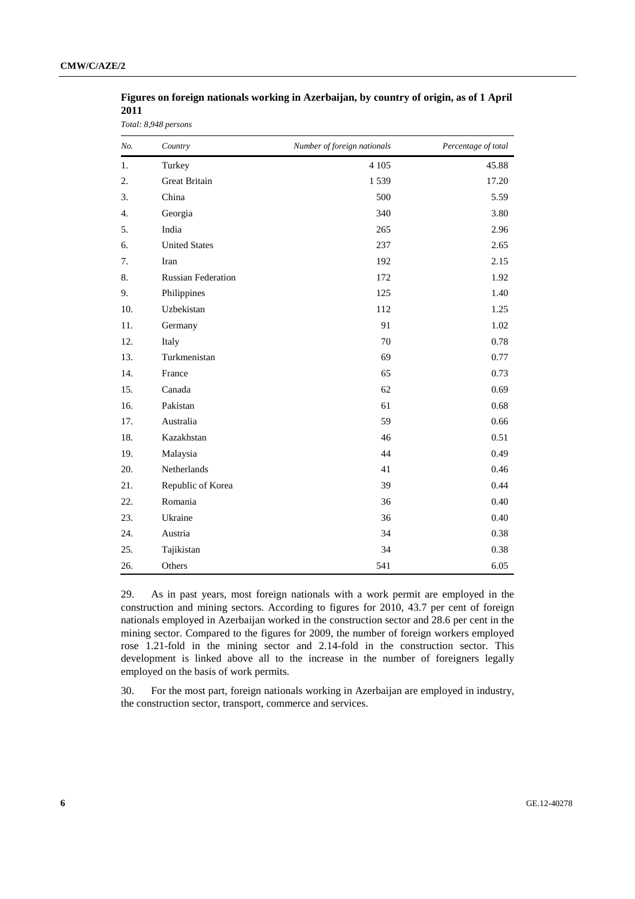| Figures on foreign nationals working in Azerbaijan, by country of origin, as of 1 April |
|-----------------------------------------------------------------------------------------|
| <b>2011</b>                                                                             |

*Total: 8,948 persons* 

| No. | Country                   | Number of foreign nationals | Percentage of total |
|-----|---------------------------|-----------------------------|---------------------|
| 1.  | Turkey                    | 4 1 0 5                     | 45.88               |
| 2.  | Great Britain             | 1539                        | 17.20               |
| 3.  | China                     | 500                         | 5.59                |
| 4.  | Georgia                   | 340                         | 3.80                |
| 5.  | India                     | 265                         | 2.96                |
| 6.  | <b>United States</b>      | 237                         | 2.65                |
| 7.  | Iran                      | 192                         | 2.15                |
| 8.  | <b>Russian Federation</b> | 172                         | 1.92                |
| 9.  | Philippines               | 125                         | 1.40                |
| 10. | Uzbekistan                | 112                         | 1.25                |
| 11. | Germany                   | 91                          | 1.02                |
| 12. | Italy                     | 70                          | 0.78                |
| 13. | Turkmenistan              | 69                          | 0.77                |
| 14. | France                    | 65                          | 0.73                |
| 15. | Canada                    | 62                          | 0.69                |
| 16. | Pakistan                  | 61                          | 0.68                |
| 17. | Australia                 | 59                          | 0.66                |
| 18. | Kazakhstan                | 46                          | 0.51                |
| 19. | Malaysia                  | 44                          | 0.49                |
| 20. | Netherlands               | 41                          | 0.46                |
| 21. | Republic of Korea         | 39                          | 0.44                |
| 22. | Romania                   | 36                          | 0.40                |
| 23. | Ukraine                   | 36                          | 0.40                |
| 24. | Austria                   | 34                          | 0.38                |
| 25. | Tajikistan                | 34                          | 0.38                |
| 26. | Others                    | 541                         | 6.05                |

29. As in past years, most foreign nationals with a work permit are employed in the construction and mining sectors. According to figures for 2010, 43.7 per cent of foreign nationals employed in Azerbaijan worked in the construction sector and 28.6 per cent in the mining sector. Compared to the figures for 2009, the number of foreign workers employed rose 1.21-fold in the mining sector and 2.14-fold in the construction sector. This development is linked above all to the increase in the number of foreigners legally employed on the basis of work permits.

30. For the most part, foreign nationals working in Azerbaijan are employed in industry, the construction sector, transport, commerce and services.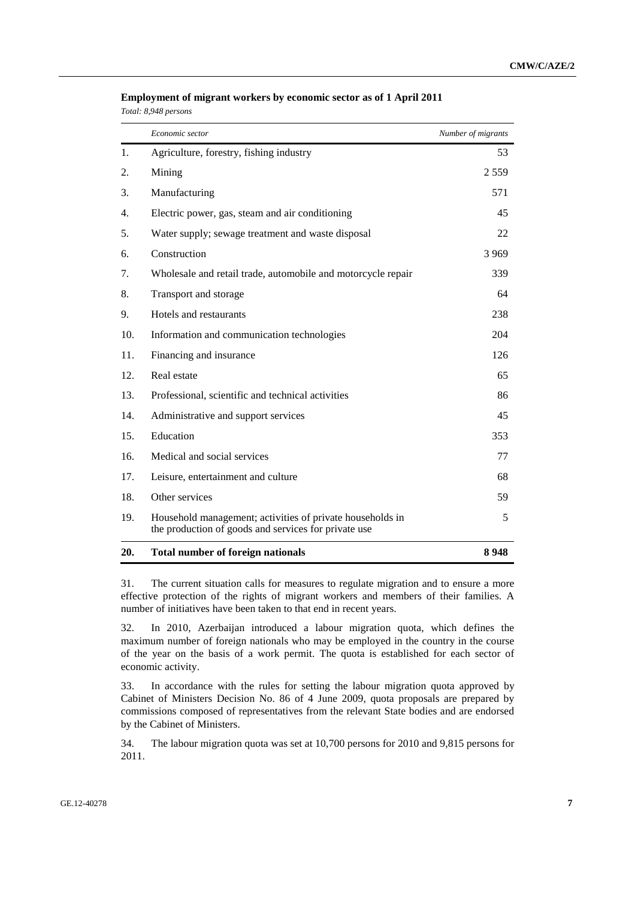|  | Employment of migrant workers by economic sector as of 1 April 2011 |  |
|--|---------------------------------------------------------------------|--|
|  |                                                                     |  |

*Total: 8,948 persons* 

|     | Economic sector                                                                                                   | Number of migrants |
|-----|-------------------------------------------------------------------------------------------------------------------|--------------------|
| 1.  | Agriculture, forestry, fishing industry                                                                           | 53                 |
| 2.  | Mining                                                                                                            | 2 5 5 9            |
| 3.  | Manufacturing                                                                                                     | 571                |
| 4.  | Electric power, gas, steam and air conditioning                                                                   | 45                 |
| 5.  | Water supply; sewage treatment and waste disposal                                                                 | 22                 |
| 6.  | Construction                                                                                                      | 3969               |
| 7.  | Wholesale and retail trade, automobile and motorcycle repair                                                      | 339                |
| 8.  | Transport and storage                                                                                             | 64                 |
| 9.  | Hotels and restaurants                                                                                            | 238                |
| 10. | Information and communication technologies                                                                        | 204                |
| 11. | Financing and insurance                                                                                           | 126                |
| 12. | Real estate                                                                                                       | 65                 |
| 13. | Professional, scientific and technical activities                                                                 | 86                 |
| 14. | Administrative and support services                                                                               | 45                 |
| 15. | Education                                                                                                         | 353                |
| 16. | Medical and social services                                                                                       | 77                 |
| 17. | Leisure, entertainment and culture                                                                                | 68                 |
| 18. | Other services                                                                                                    | 59                 |
| 19. | Household management; activities of private households in<br>the production of goods and services for private use | 5                  |
| 20. | <b>Total number of foreign nationals</b>                                                                          | 8948               |

31. The current situation calls for measures to regulate migration and to ensure a more effective protection of the rights of migrant workers and members of their families. A number of initiatives have been taken to that end in recent years.

32. In 2010, Azerbaijan introduced a labour migration quota, which defines the maximum number of foreign nationals who may be employed in the country in the course of the year on the basis of a work permit. The quota is established for each sector of economic activity.

33. In accordance with the rules for setting the labour migration quota approved by Cabinet of Ministers Decision No. 86 of 4 June 2009, quota proposals are prepared by commissions composed of representatives from the relevant State bodies and are endorsed by the Cabinet of Ministers.

34. The labour migration quota was set at 10,700 persons for 2010 and 9,815 persons for 2011.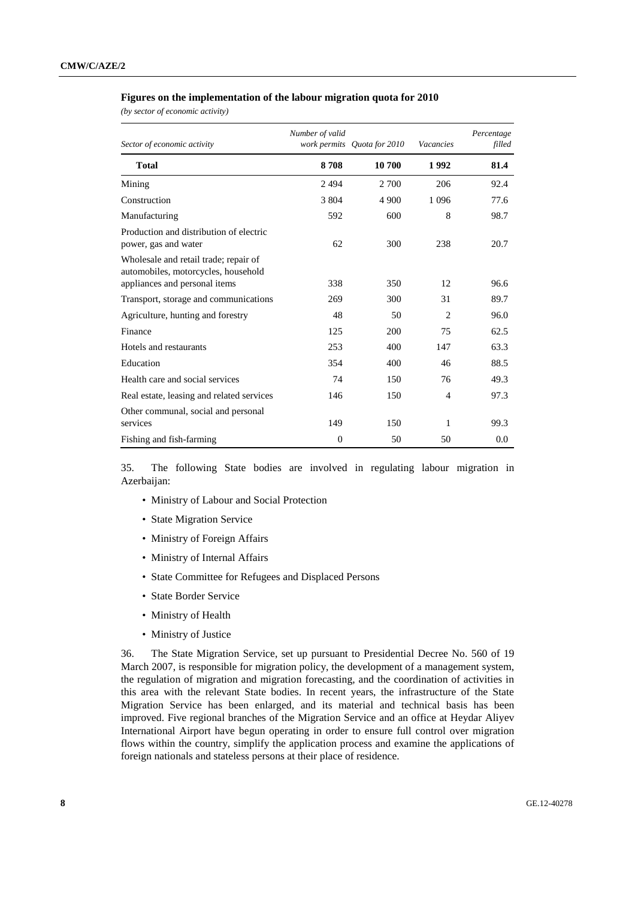#### **Figures on the implementation of the labour migration quota for 2010**

*(by sector of economic activity)* 

| Sector of economic activity                                                                                   | Number of valid | work permits Quota for 2010 | Vacancies      | Percentage<br>filled |
|---------------------------------------------------------------------------------------------------------------|-----------------|-----------------------------|----------------|----------------------|
| <b>Total</b>                                                                                                  | 8708            | 10700                       | 1992           | 81.4                 |
| Mining                                                                                                        | 2494            | 2 700                       | 206            | 92.4                 |
| Construction                                                                                                  | 3 804           | 4 900                       | 1 0 9 6        | 77.6                 |
| Manufacturing                                                                                                 | 592             | 600                         | 8              | 98.7                 |
| Production and distribution of electric<br>power, gas and water                                               | 62              | 300                         | 238            | 20.7                 |
| Wholesale and retail trade; repair of<br>automobiles, motorcycles, household<br>appliances and personal items | 338             | 350                         | 12             | 96.6                 |
| Transport, storage and communications                                                                         | 269             | 300                         | 31             | 89.7                 |
| Agriculture, hunting and forestry                                                                             | 48              | 50                          | $\overline{2}$ | 96.0                 |
| Finance                                                                                                       | 125             | 200                         | 75             | 62.5                 |
| Hotels and restaurants                                                                                        | 253             | 400                         | 147            | 63.3                 |
| Education                                                                                                     | 354             | 400                         | 46             | 88.5                 |
| Health care and social services                                                                               | 74              | 150                         | 76             | 49.3                 |
| Real estate, leasing and related services                                                                     | 146             | 150                         | $\overline{4}$ | 97.3                 |
| Other communal, social and personal<br>services                                                               | 149             | 150                         | 1              | 99.3                 |
| Fishing and fish-farming                                                                                      | $\overline{0}$  | 50                          | 50             | 0.0                  |

35. The following State bodies are involved in regulating labour migration in Azerbaijan:

- Ministry of Labour and Social Protection
- State Migration Service
- Ministry of Foreign Affairs
- Ministry of Internal Affairs
- State Committee for Refugees and Displaced Persons
- State Border Service
- Ministry of Health
- Ministry of Justice

36. The State Migration Service, set up pursuant to Presidential Decree No. 560 of 19 March 2007, is responsible for migration policy, the development of a management system, the regulation of migration and migration forecasting, and the coordination of activities in this area with the relevant State bodies. In recent years, the infrastructure of the State Migration Service has been enlarged, and its material and technical basis has been improved. Five regional branches of the Migration Service and an office at Heydar Aliyev International Airport have begun operating in order to ensure full control over migration flows within the country, simplify the application process and examine the applications of foreign nationals and stateless persons at their place of residence.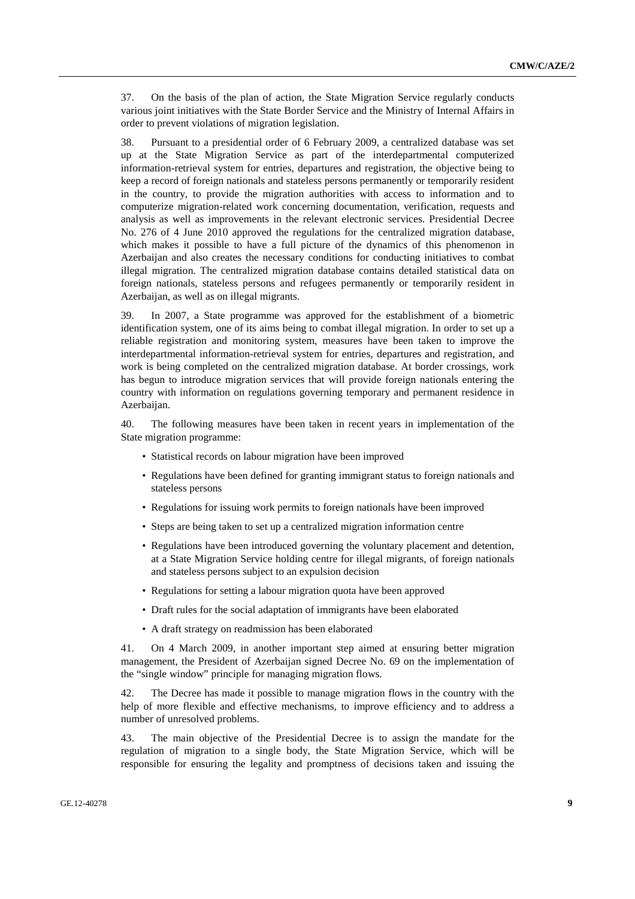37. On the basis of the plan of action, the State Migration Service regularly conducts various joint initiatives with the State Border Service and the Ministry of Internal Affairs in order to prevent violations of migration legislation.

38. Pursuant to a presidential order of 6 February 2009, a centralized database was set up at the State Migration Service as part of the interdepartmental computerized information-retrieval system for entries, departures and registration, the objective being to keep a record of foreign nationals and stateless persons permanently or temporarily resident in the country, to provide the migration authorities with access to information and to computerize migration-related work concerning documentation, verification, requests and analysis as well as improvements in the relevant electronic services. Presidential Decree No. 276 of 4 June 2010 approved the regulations for the centralized migration database, which makes it possible to have a full picture of the dynamics of this phenomenon in Azerbaijan and also creates the necessary conditions for conducting initiatives to combat illegal migration. The centralized migration database contains detailed statistical data on foreign nationals, stateless persons and refugees permanently or temporarily resident in Azerbaijan, as well as on illegal migrants.

39. In 2007, a State programme was approved for the establishment of a biometric identification system, one of its aims being to combat illegal migration. In order to set up a reliable registration and monitoring system, measures have been taken to improve the interdepartmental information-retrieval system for entries, departures and registration, and work is being completed on the centralized migration database. At border crossings, work has begun to introduce migration services that will provide foreign nationals entering the country with information on regulations governing temporary and permanent residence in Azerbaijan.

40. The following measures have been taken in recent years in implementation of the State migration programme:

- Statistical records on labour migration have been improved
- Regulations have been defined for granting immigrant status to foreign nationals and stateless persons
- Regulations for issuing work permits to foreign nationals have been improved
- Steps are being taken to set up a centralized migration information centre
- Regulations have been introduced governing the voluntary placement and detention, at a State Migration Service holding centre for illegal migrants, of foreign nationals and stateless persons subject to an expulsion decision
- Regulations for setting a labour migration quota have been approved
- Draft rules for the social adaptation of immigrants have been elaborated
- A draft strategy on readmission has been elaborated

41. On 4 March 2009, in another important step aimed at ensuring better migration management, the President of Azerbaijan signed Decree No. 69 on the implementation of the "single window" principle for managing migration flows.

42. The Decree has made it possible to manage migration flows in the country with the help of more flexible and effective mechanisms, to improve efficiency and to address a number of unresolved problems.

43. The main objective of the Presidential Decree is to assign the mandate for the regulation of migration to a single body, the State Migration Service, which will be responsible for ensuring the legality and promptness of decisions taken and issuing the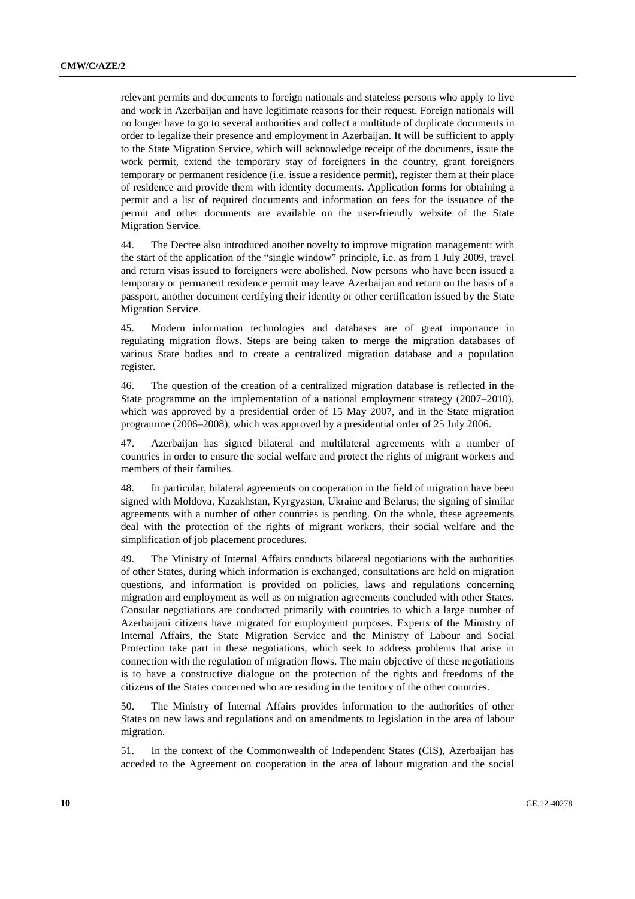relevant permits and documents to foreign nationals and stateless persons who apply to live and work in Azerbaijan and have legitimate reasons for their request. Foreign nationals will no longer have to go to several authorities and collect a multitude of duplicate documents in order to legalize their presence and employment in Azerbaijan. It will be sufficient to apply to the State Migration Service, which will acknowledge receipt of the documents, issue the work permit, extend the temporary stay of foreigners in the country, grant foreigners temporary or permanent residence (i.e. issue a residence permit), register them at their place of residence and provide them with identity documents. Application forms for obtaining a permit and a list of required documents and information on fees for the issuance of the permit and other documents are available on the user-friendly website of the State Migration Service.

44. The Decree also introduced another novelty to improve migration management: with the start of the application of the "single window" principle, i.e. as from 1 July 2009, travel and return visas issued to foreigners were abolished. Now persons who have been issued a temporary or permanent residence permit may leave Azerbaijan and return on the basis of a passport, another document certifying their identity or other certification issued by the State Migration Service.

45. Modern information technologies and databases are of great importance in regulating migration flows. Steps are being taken to merge the migration databases of various State bodies and to create a centralized migration database and a population register.

46. The question of the creation of a centralized migration database is reflected in the State programme on the implementation of a national employment strategy (2007–2010), which was approved by a presidential order of 15 May 2007, and in the State migration programme (2006–2008), which was approved by a presidential order of 25 July 2006.

47. Azerbaijan has signed bilateral and multilateral agreements with a number of countries in order to ensure the social welfare and protect the rights of migrant workers and members of their families.

48. In particular, bilateral agreements on cooperation in the field of migration have been signed with Moldova, Kazakhstan, Kyrgyzstan, Ukraine and Belarus; the signing of similar agreements with a number of other countries is pending. On the whole, these agreements deal with the protection of the rights of migrant workers, their social welfare and the simplification of job placement procedures.

49. The Ministry of Internal Affairs conducts bilateral negotiations with the authorities of other States, during which information is exchanged, consultations are held on migration questions, and information is provided on policies, laws and regulations concerning migration and employment as well as on migration agreements concluded with other States. Consular negotiations are conducted primarily with countries to which a large number of Azerbaijani citizens have migrated for employment purposes. Experts of the Ministry of Internal Affairs, the State Migration Service and the Ministry of Labour and Social Protection take part in these negotiations, which seek to address problems that arise in connection with the regulation of migration flows. The main objective of these negotiations is to have a constructive dialogue on the protection of the rights and freedoms of the citizens of the States concerned who are residing in the territory of the other countries.

50. The Ministry of Internal Affairs provides information to the authorities of other States on new laws and regulations and on amendments to legislation in the area of labour migration.

51. In the context of the Commonwealth of Independent States (CIS), Azerbaijan has acceded to the Agreement on cooperation in the area of labour migration and the social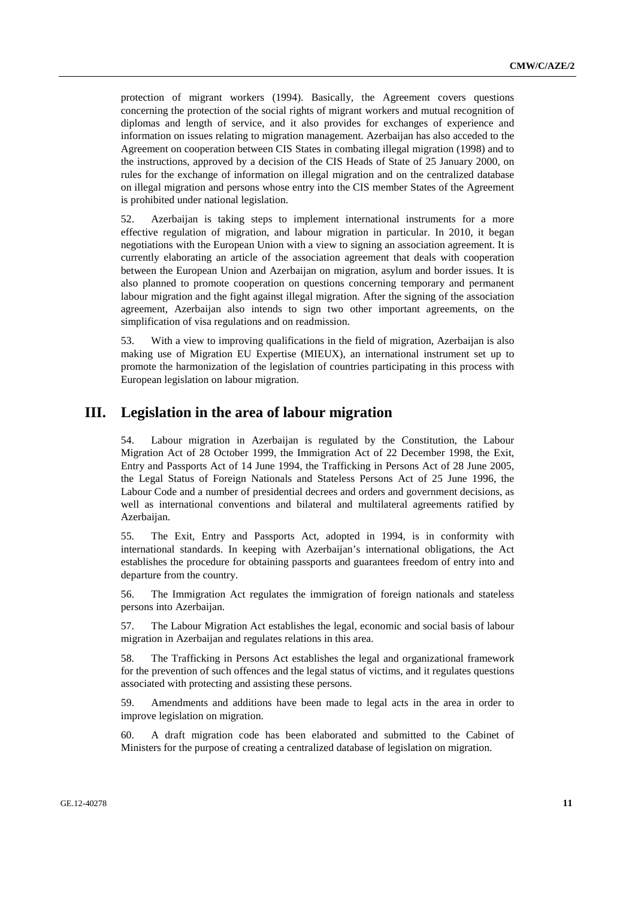protection of migrant workers (1994). Basically, the Agreement covers questions concerning the protection of the social rights of migrant workers and mutual recognition of diplomas and length of service, and it also provides for exchanges of experience and information on issues relating to migration management. Azerbaijan has also acceded to the Agreement on cooperation between CIS States in combating illegal migration (1998) and to the instructions, approved by a decision of the CIS Heads of State of 25 January 2000, on rules for the exchange of information on illegal migration and on the centralized database on illegal migration and persons whose entry into the CIS member States of the Agreement is prohibited under national legislation.

52. Azerbaijan is taking steps to implement international instruments for a more effective regulation of migration, and labour migration in particular. In 2010, it began negotiations with the European Union with a view to signing an association agreement. It is currently elaborating an article of the association agreement that deals with cooperation between the European Union and Azerbaijan on migration, asylum and border issues. It is also planned to promote cooperation on questions concerning temporary and permanent labour migration and the fight against illegal migration. After the signing of the association agreement, Azerbaijan also intends to sign two other important agreements, on the simplification of visa regulations and on readmission.

53. With a view to improving qualifications in the field of migration, Azerbaijan is also making use of Migration EU Expertise (MIEUX), an international instrument set up to promote the harmonization of the legislation of countries participating in this process with European legislation on labour migration.

### **III. Legislation in the area of labour migration**

54. Labour migration in Azerbaijan is regulated by the Constitution, the Labour Migration Act of 28 October 1999, the Immigration Act of 22 December 1998, the Exit, Entry and Passports Act of 14 June 1994, the Trafficking in Persons Act of 28 June 2005, the Legal Status of Foreign Nationals and Stateless Persons Act of 25 June 1996, the Labour Code and a number of presidential decrees and orders and government decisions, as well as international conventions and bilateral and multilateral agreements ratified by Azerbaijan.

55. The Exit, Entry and Passports Act, adopted in 1994, is in conformity with international standards. In keeping with Azerbaijan's international obligations, the Act establishes the procedure for obtaining passports and guarantees freedom of entry into and departure from the country.

56. The Immigration Act regulates the immigration of foreign nationals and stateless persons into Azerbaijan.

57. The Labour Migration Act establishes the legal, economic and social basis of labour migration in Azerbaijan and regulates relations in this area.

58. The Trafficking in Persons Act establishes the legal and organizational framework for the prevention of such offences and the legal status of victims, and it regulates questions associated with protecting and assisting these persons.

59. Amendments and additions have been made to legal acts in the area in order to improve legislation on migration.

60. A draft migration code has been elaborated and submitted to the Cabinet of Ministers for the purpose of creating a centralized database of legislation on migration.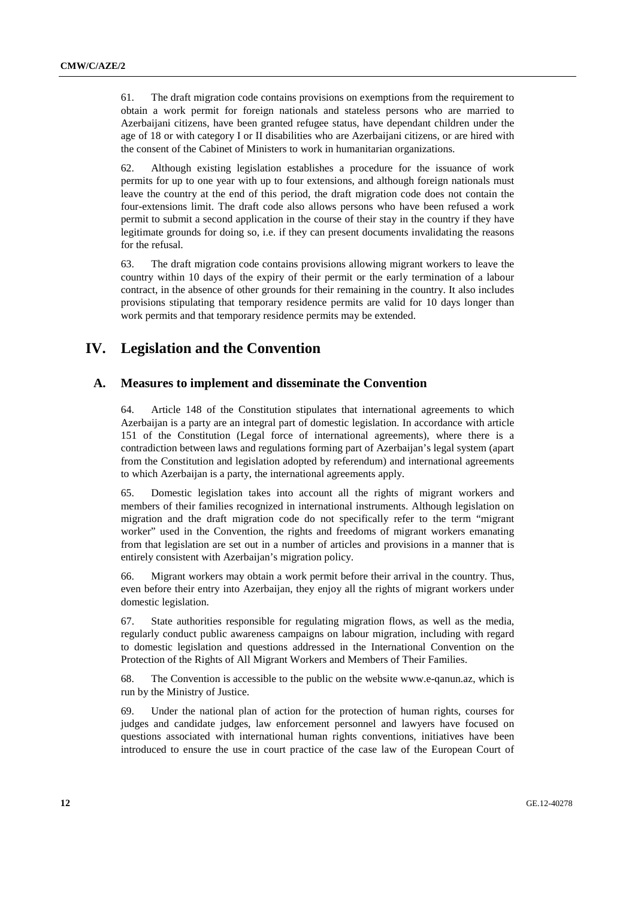61. The draft migration code contains provisions on exemptions from the requirement to obtain a work permit for foreign nationals and stateless persons who are married to Azerbaijani citizens, have been granted refugee status, have dependant children under the age of 18 or with category I or II disabilities who are Azerbaijani citizens, or are hired with the consent of the Cabinet of Ministers to work in humanitarian organizations.

62. Although existing legislation establishes a procedure for the issuance of work permits for up to one year with up to four extensions, and although foreign nationals must leave the country at the end of this period, the draft migration code does not contain the four-extensions limit. The draft code also allows persons who have been refused a work permit to submit a second application in the course of their stay in the country if they have legitimate grounds for doing so, i.e. if they can present documents invalidating the reasons for the refusal.

63. The draft migration code contains provisions allowing migrant workers to leave the country within 10 days of the expiry of their permit or the early termination of a labour contract, in the absence of other grounds for their remaining in the country. It also includes provisions stipulating that temporary residence permits are valid for 10 days longer than work permits and that temporary residence permits may be extended.

# **IV. Legislation and the Convention**

#### **A. Measures to implement and disseminate the Convention**

64. Article 148 of the Constitution stipulates that international agreements to which Azerbaijan is a party are an integral part of domestic legislation. In accordance with article 151 of the Constitution (Legal force of international agreements), where there is a contradiction between laws and regulations forming part of Azerbaijan's legal system (apart from the Constitution and legislation adopted by referendum) and international agreements to which Azerbaijan is a party, the international agreements apply.

65. Domestic legislation takes into account all the rights of migrant workers and members of their families recognized in international instruments. Although legislation on migration and the draft migration code do not specifically refer to the term "migrant worker" used in the Convention, the rights and freedoms of migrant workers emanating from that legislation are set out in a number of articles and provisions in a manner that is entirely consistent with Azerbaijan's migration policy.

66. Migrant workers may obtain a work permit before their arrival in the country. Thus, even before their entry into Azerbaijan, they enjoy all the rights of migrant workers under domestic legislation.

67. State authorities responsible for regulating migration flows, as well as the media, regularly conduct public awareness campaigns on labour migration, including with regard to domestic legislation and questions addressed in the International Convention on the Protection of the Rights of All Migrant Workers and Members of Their Families.

68. The Convention is accessible to the public on the website www.e-qanun.az, which is run by the Ministry of Justice.

69. Under the national plan of action for the protection of human rights, courses for judges and candidate judges, law enforcement personnel and lawyers have focused on questions associated with international human rights conventions, initiatives have been introduced to ensure the use in court practice of the case law of the European Court of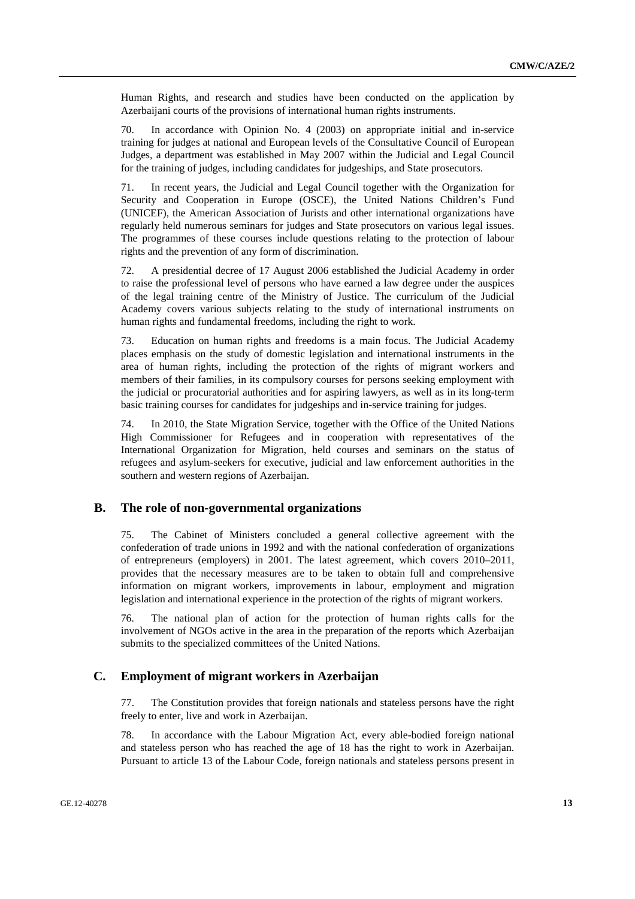Human Rights, and research and studies have been conducted on the application by Azerbaijani courts of the provisions of international human rights instruments.

70. In accordance with Opinion No. 4 (2003) on appropriate initial and in-service training for judges at national and European levels of the Consultative Council of European Judges, a department was established in May 2007 within the Judicial and Legal Council for the training of judges, including candidates for judgeships, and State prosecutors.

71. In recent years, the Judicial and Legal Council together with the Organization for Security and Cooperation in Europe (OSCE), the United Nations Children's Fund (UNICEF), the American Association of Jurists and other international organizations have regularly held numerous seminars for judges and State prosecutors on various legal issues. The programmes of these courses include questions relating to the protection of labour rights and the prevention of any form of discrimination.

72. A presidential decree of 17 August 2006 established the Judicial Academy in order to raise the professional level of persons who have earned a law degree under the auspices of the legal training centre of the Ministry of Justice. The curriculum of the Judicial Academy covers various subjects relating to the study of international instruments on human rights and fundamental freedoms, including the right to work.

73. Education on human rights and freedoms is a main focus. The Judicial Academy places emphasis on the study of domestic legislation and international instruments in the area of human rights, including the protection of the rights of migrant workers and members of their families, in its compulsory courses for persons seeking employment with the judicial or procuratorial authorities and for aspiring lawyers, as well as in its long-term basic training courses for candidates for judgeships and in-service training for judges.

74. In 2010, the State Migration Service, together with the Office of the United Nations High Commissioner for Refugees and in cooperation with representatives of the International Organization for Migration, held courses and seminars on the status of refugees and asylum-seekers for executive, judicial and law enforcement authorities in the southern and western regions of Azerbaijan.

### **B. The role of non-governmental organizations**

75. The Cabinet of Ministers concluded a general collective agreement with the confederation of trade unions in 1992 and with the national confederation of organizations of entrepreneurs (employers) in 2001. The latest agreement, which covers 2010–2011, provides that the necessary measures are to be taken to obtain full and comprehensive information on migrant workers, improvements in labour, employment and migration legislation and international experience in the protection of the rights of migrant workers.

76. The national plan of action for the protection of human rights calls for the involvement of NGOs active in the area in the preparation of the reports which Azerbaijan submits to the specialized committees of the United Nations.

#### **C. Employment of migrant workers in Azerbaijan**

77. The Constitution provides that foreign nationals and stateless persons have the right freely to enter, live and work in Azerbaijan.

78. In accordance with the Labour Migration Act, every able-bodied foreign national and stateless person who has reached the age of 18 has the right to work in Azerbaijan. Pursuant to article 13 of the Labour Code, foreign nationals and stateless persons present in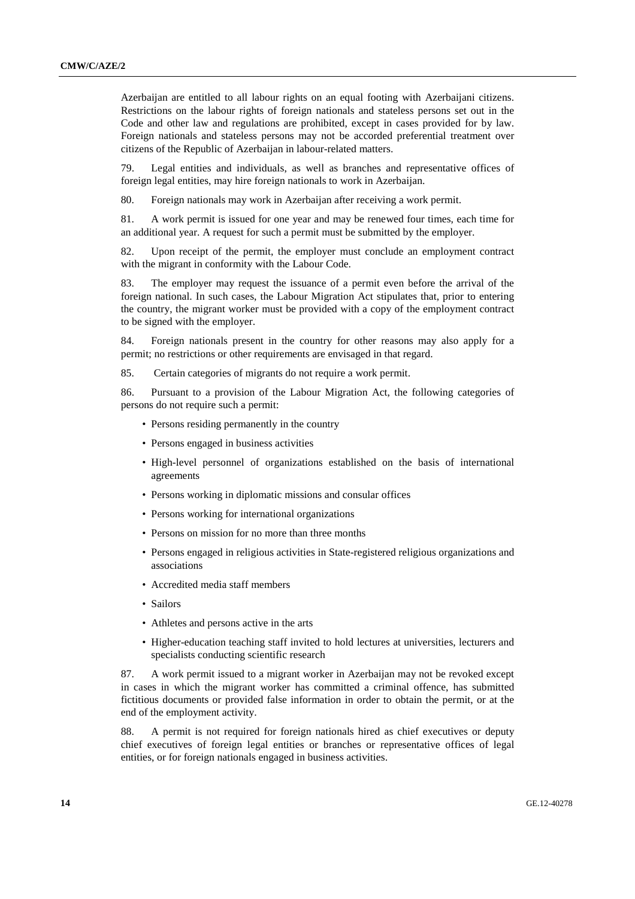Azerbaijan are entitled to all labour rights on an equal footing with Azerbaijani citizens. Restrictions on the labour rights of foreign nationals and stateless persons set out in the Code and other law and regulations are prohibited, except in cases provided for by law. Foreign nationals and stateless persons may not be accorded preferential treatment over citizens of the Republic of Azerbaijan in labour-related matters.

79. Legal entities and individuals, as well as branches and representative offices of foreign legal entities, may hire foreign nationals to work in Azerbaijan.

80. Foreign nationals may work in Azerbaijan after receiving a work permit.

81. A work permit is issued for one year and may be renewed four times, each time for an additional year. A request for such a permit must be submitted by the employer.

82. Upon receipt of the permit, the employer must conclude an employment contract with the migrant in conformity with the Labour Code.

83. The employer may request the issuance of a permit even before the arrival of the foreign national. In such cases, the Labour Migration Act stipulates that, prior to entering the country, the migrant worker must be provided with a copy of the employment contract to be signed with the employer.

84. Foreign nationals present in the country for other reasons may also apply for a permit; no restrictions or other requirements are envisaged in that regard.

85. Certain categories of migrants do not require a work permit.

86. Pursuant to a provision of the Labour Migration Act, the following categories of persons do not require such a permit:

- Persons residing permanently in the country
- Persons engaged in business activities
- High-level personnel of organizations established on the basis of international agreements
- Persons working in diplomatic missions and consular offices
- Persons working for international organizations
- Persons on mission for no more than three months
- Persons engaged in religious activities in State-registered religious organizations and associations
- Accredited media staff members
- Sailors
- Athletes and persons active in the arts
- Higher-education teaching staff invited to hold lectures at universities, lecturers and specialists conducting scientific research

87. A work permit issued to a migrant worker in Azerbaijan may not be revoked except in cases in which the migrant worker has committed a criminal offence, has submitted fictitious documents or provided false information in order to obtain the permit, or at the end of the employment activity.

88. A permit is not required for foreign nationals hired as chief executives or deputy chief executives of foreign legal entities or branches or representative offices of legal entities, or for foreign nationals engaged in business activities.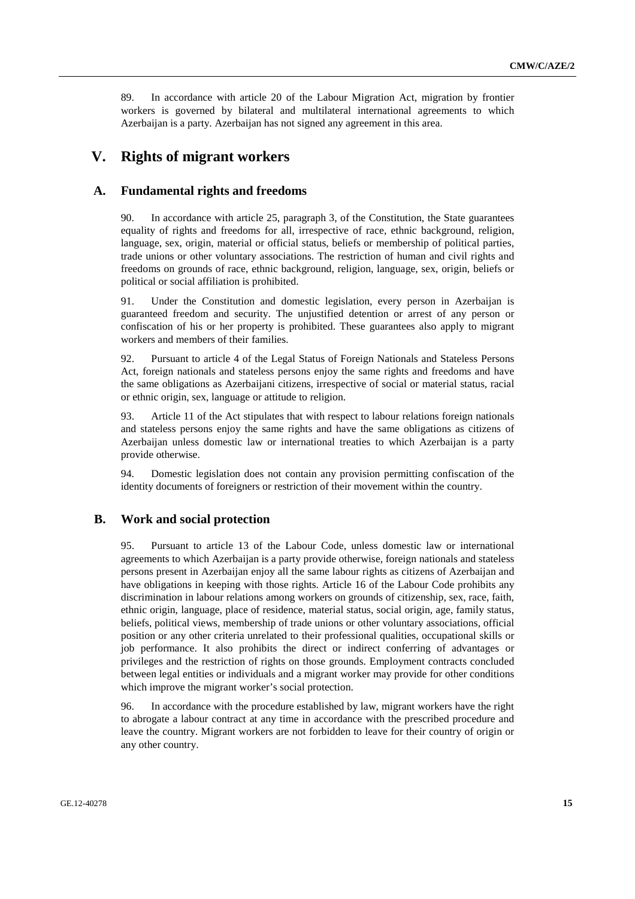89. In accordance with article 20 of the Labour Migration Act, migration by frontier workers is governed by bilateral and multilateral international agreements to which Azerbaijan is a party. Azerbaijan has not signed any agreement in this area.

### **V. Rights of migrant workers**

#### **A. Fundamental rights and freedoms**

90. In accordance with article 25, paragraph 3, of the Constitution, the State guarantees equality of rights and freedoms for all, irrespective of race, ethnic background, religion, language, sex, origin, material or official status, beliefs or membership of political parties, trade unions or other voluntary associations. The restriction of human and civil rights and freedoms on grounds of race, ethnic background, religion, language, sex, origin, beliefs or political or social affiliation is prohibited.

91. Under the Constitution and domestic legislation, every person in Azerbaijan is guaranteed freedom and security. The unjustified detention or arrest of any person or confiscation of his or her property is prohibited. These guarantees also apply to migrant workers and members of their families.

92. Pursuant to article 4 of the Legal Status of Foreign Nationals and Stateless Persons Act, foreign nationals and stateless persons enjoy the same rights and freedoms and have the same obligations as Azerbaijani citizens, irrespective of social or material status, racial or ethnic origin, sex, language or attitude to religion.

93. Article 11 of the Act stipulates that with respect to labour relations foreign nationals and stateless persons enjoy the same rights and have the same obligations as citizens of Azerbaijan unless domestic law or international treaties to which Azerbaijan is a party provide otherwise.

94. Domestic legislation does not contain any provision permitting confiscation of the identity documents of foreigners or restriction of their movement within the country.

### **B. Work and social protection**

95. Pursuant to article 13 of the Labour Code, unless domestic law or international agreements to which Azerbaijan is a party provide otherwise, foreign nationals and stateless persons present in Azerbaijan enjoy all the same labour rights as citizens of Azerbaijan and have obligations in keeping with those rights. Article 16 of the Labour Code prohibits any discrimination in labour relations among workers on grounds of citizenship, sex, race, faith, ethnic origin, language, place of residence, material status, social origin, age, family status, beliefs, political views, membership of trade unions or other voluntary associations, official position or any other criteria unrelated to their professional qualities, occupational skills or job performance. It also prohibits the direct or indirect conferring of advantages or privileges and the restriction of rights on those grounds. Employment contracts concluded between legal entities or individuals and a migrant worker may provide for other conditions which improve the migrant worker's social protection.

96. In accordance with the procedure established by law, migrant workers have the right to abrogate a labour contract at any time in accordance with the prescribed procedure and leave the country. Migrant workers are not forbidden to leave for their country of origin or any other country.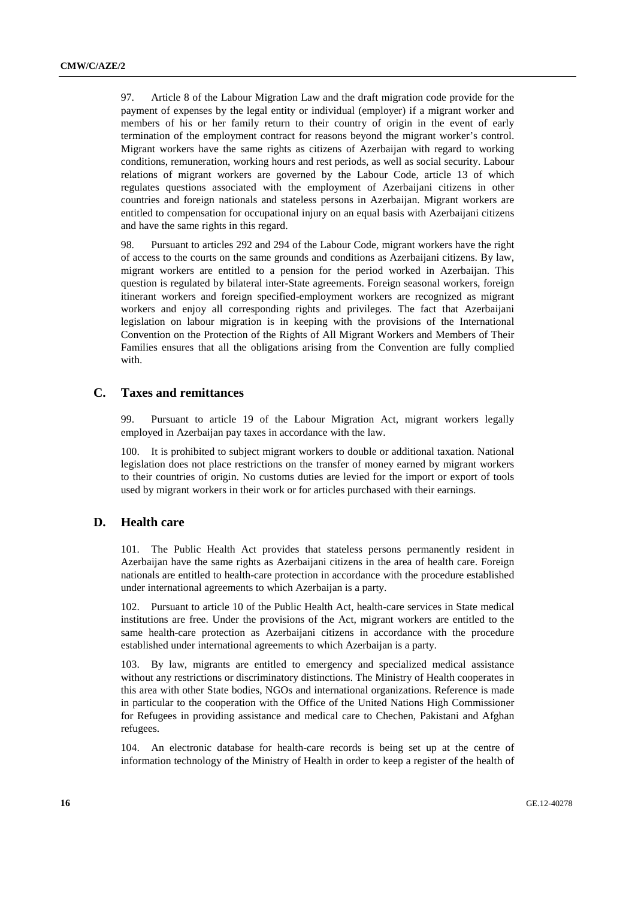97. Article 8 of the Labour Migration Law and the draft migration code provide for the payment of expenses by the legal entity or individual (employer) if a migrant worker and members of his or her family return to their country of origin in the event of early termination of the employment contract for reasons beyond the migrant worker's control. Migrant workers have the same rights as citizens of Azerbaijan with regard to working conditions, remuneration, working hours and rest periods, as well as social security. Labour relations of migrant workers are governed by the Labour Code, article 13 of which regulates questions associated with the employment of Azerbaijani citizens in other countries and foreign nationals and stateless persons in Azerbaijan. Migrant workers are entitled to compensation for occupational injury on an equal basis with Azerbaijani citizens and have the same rights in this regard.

98. Pursuant to articles 292 and 294 of the Labour Code, migrant workers have the right of access to the courts on the same grounds and conditions as Azerbaijani citizens. By law, migrant workers are entitled to a pension for the period worked in Azerbaijan. This question is regulated by bilateral inter-State agreements. Foreign seasonal workers, foreign itinerant workers and foreign specified-employment workers are recognized as migrant workers and enjoy all corresponding rights and privileges. The fact that Azerbaijani legislation on labour migration is in keeping with the provisions of the International Convention on the Protection of the Rights of All Migrant Workers and Members of Their Families ensures that all the obligations arising from the Convention are fully complied with.

#### **C. Taxes and remittances**

99. Pursuant to article 19 of the Labour Migration Act, migrant workers legally employed in Azerbaijan pay taxes in accordance with the law.

100. It is prohibited to subject migrant workers to double or additional taxation. National legislation does not place restrictions on the transfer of money earned by migrant workers to their countries of origin. No customs duties are levied for the import or export of tools used by migrant workers in their work or for articles purchased with their earnings.

### **D. Health care**

101. The Public Health Act provides that stateless persons permanently resident in Azerbaijan have the same rights as Azerbaijani citizens in the area of health care. Foreign nationals are entitled to health-care protection in accordance with the procedure established under international agreements to which Azerbaijan is a party.

102. Pursuant to article 10 of the Public Health Act, health-care services in State medical institutions are free. Under the provisions of the Act, migrant workers are entitled to the same health-care protection as Azerbaijani citizens in accordance with the procedure established under international agreements to which Azerbaijan is a party.

103. By law, migrants are entitled to emergency and specialized medical assistance without any restrictions or discriminatory distinctions. The Ministry of Health cooperates in this area with other State bodies, NGOs and international organizations. Reference is made in particular to the cooperation with the Office of the United Nations High Commissioner for Refugees in providing assistance and medical care to Chechen, Pakistani and Afghan refugees.

104. An electronic database for health-care records is being set up at the centre of information technology of the Ministry of Health in order to keep a register of the health of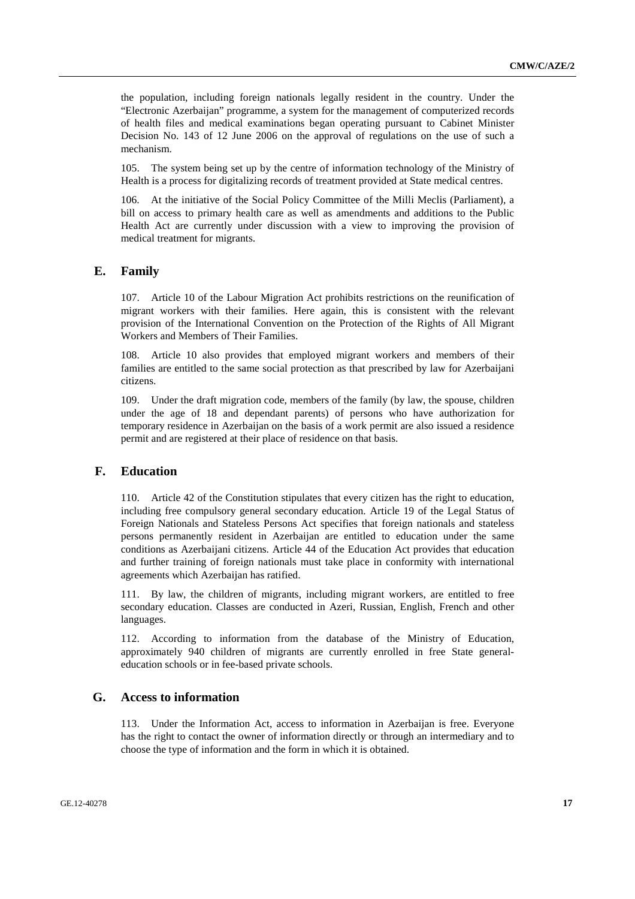the population, including foreign nationals legally resident in the country. Under the "Electronic Azerbaijan" programme, a system for the management of computerized records of health files and medical examinations began operating pursuant to Cabinet Minister Decision No. 143 of 12 June 2006 on the approval of regulations on the use of such a mechanism.

105. The system being set up by the centre of information technology of the Ministry of Health is a process for digitalizing records of treatment provided at State medical centres.

106. At the initiative of the Social Policy Committee of the Milli Meclis (Parliament), a bill on access to primary health care as well as amendments and additions to the Public Health Act are currently under discussion with a view to improving the provision of medical treatment for migrants.

#### **E. Family**

107. Article 10 of the Labour Migration Act prohibits restrictions on the reunification of migrant workers with their families. Here again, this is consistent with the relevant provision of the International Convention on the Protection of the Rights of All Migrant Workers and Members of Their Families.

108. Article 10 also provides that employed migrant workers and members of their families are entitled to the same social protection as that prescribed by law for Azerbaijani citizens.

109. Under the draft migration code, members of the family (by law, the spouse, children under the age of 18 and dependant parents) of persons who have authorization for temporary residence in Azerbaijan on the basis of a work permit are also issued a residence permit and are registered at their place of residence on that basis.

#### **F. Education**

110. Article 42 of the Constitution stipulates that every citizen has the right to education, including free compulsory general secondary education. Article 19 of the Legal Status of Foreign Nationals and Stateless Persons Act specifies that foreign nationals and stateless persons permanently resident in Azerbaijan are entitled to education under the same conditions as Azerbaijani citizens. Article 44 of the Education Act provides that education and further training of foreign nationals must take place in conformity with international agreements which Azerbaijan has ratified.

111. By law, the children of migrants, including migrant workers, are entitled to free secondary education. Classes are conducted in Azeri, Russian, English, French and other languages.

112. According to information from the database of the Ministry of Education, approximately 940 children of migrants are currently enrolled in free State generaleducation schools or in fee-based private schools.

#### **G. Access to information**

113. Under the Information Act, access to information in Azerbaijan is free. Everyone has the right to contact the owner of information directly or through an intermediary and to choose the type of information and the form in which it is obtained.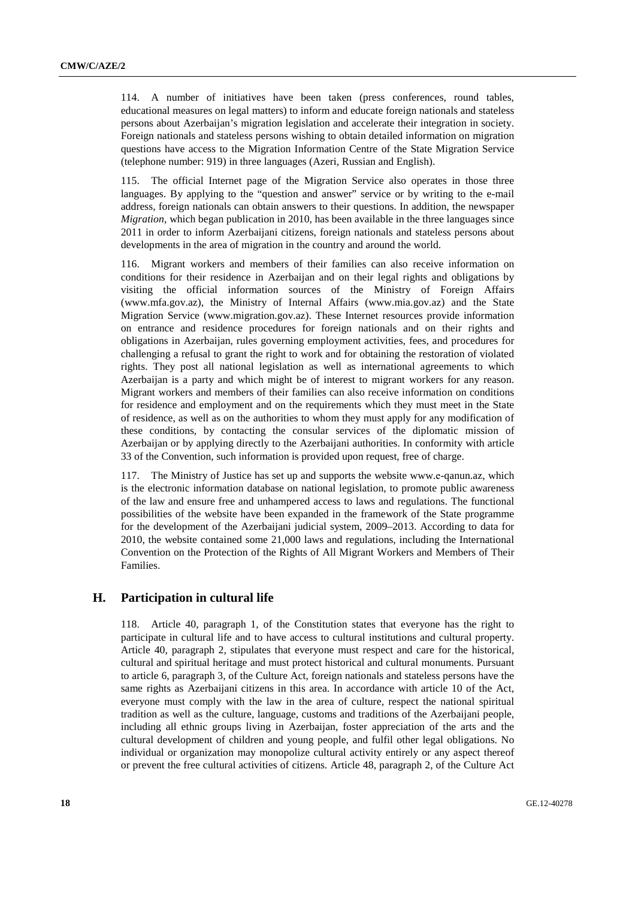114. A number of initiatives have been taken (press conferences, round tables, educational measures on legal matters) to inform and educate foreign nationals and stateless persons about Azerbaijan's migration legislation and accelerate their integration in society. Foreign nationals and stateless persons wishing to obtain detailed information on migration questions have access to the Migration Information Centre of the State Migration Service (telephone number: 919) in three languages (Azeri, Russian and English).

115. The official Internet page of the Migration Service also operates in those three languages. By applying to the "question and answer" service or by writing to the e-mail address, foreign nationals can obtain answers to their questions. In addition, the newspaper *Migration*, which began publication in 2010, has been available in the three languages since 2011 in order to inform Azerbaijani citizens, foreign nationals and stateless persons about developments in the area of migration in the country and around the world.

116. Migrant workers and members of their families can also receive information on conditions for their residence in Azerbaijan and on their legal rights and obligations by visiting the official information sources of the Ministry of Foreign Affairs (www.mfa.gov.az), the Ministry of Internal Affairs (www.mia.gov.az) and the State Migration Service (www.migration.gov.az). These Internet resources provide information on entrance and residence procedures for foreign nationals and on their rights and obligations in Azerbaijan, rules governing employment activities, fees, and procedures for challenging a refusal to grant the right to work and for obtaining the restoration of violated rights. They post all national legislation as well as international agreements to which Azerbaijan is a party and which might be of interest to migrant workers for any reason. Migrant workers and members of their families can also receive information on conditions for residence and employment and on the requirements which they must meet in the State of residence, as well as on the authorities to whom they must apply for any modification of these conditions, by contacting the consular services of the diplomatic mission of Azerbaijan or by applying directly to the Azerbaijani authorities. In conformity with article 33 of the Convention, such information is provided upon request, free of charge.

117. The Ministry of Justice has set up and supports the website www.е-qanun.az, which is the electronic information database on national legislation, to promote public awareness of the law and ensure free and unhampered access to laws and regulations. The functional possibilities of the website have been expanded in the framework of the State programme for the development of the Azerbaijani judicial system, 2009–2013. According to data for 2010, the website contained some 21,000 laws and regulations, including the International Convention on the Protection of the Rights of All Migrant Workers and Members of Their Families.

#### **H. Participation in cultural life**

118. Article 40, paragraph 1, of the Constitution states that everyone has the right to participate in cultural life and to have access to cultural institutions and cultural property. Article 40, paragraph 2, stipulates that everyone must respect and care for the historical, cultural and spiritual heritage and must protect historical and cultural monuments. Pursuant to article 6, paragraph 3, of the Culture Act, foreign nationals and stateless persons have the same rights as Azerbaijani citizens in this area. In accordance with article 10 of the Act, everyone must comply with the law in the area of culture, respect the national spiritual tradition as well as the culture, language, customs and traditions of the Azerbaijani people, including all ethnic groups living in Azerbaijan, foster appreciation of the arts and the cultural development of children and young people, and fulfil other legal obligations. No individual or organization may monopolize cultural activity entirely or any aspect thereof or prevent the free cultural activities of citizens. Article 48, paragraph 2, of the Culture Act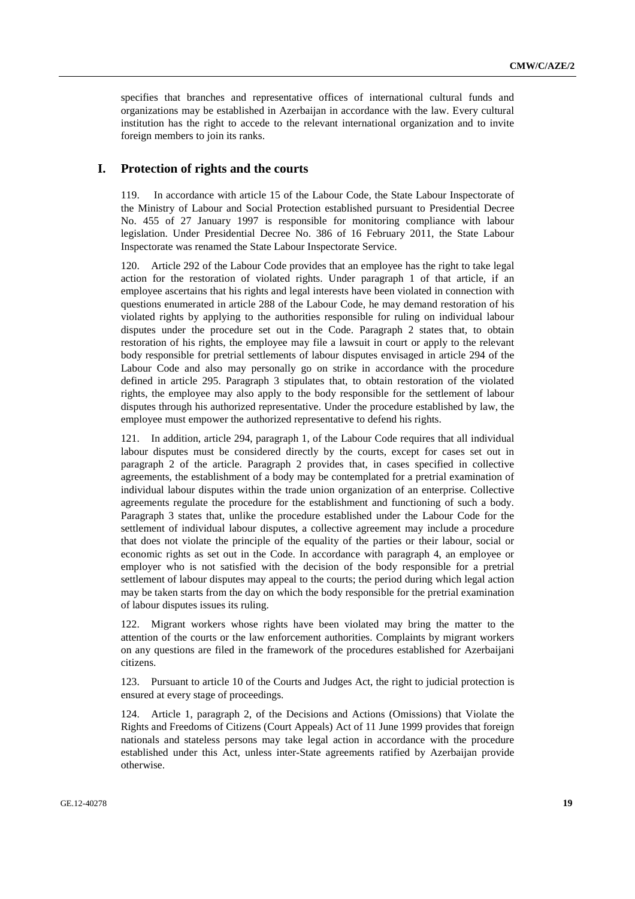specifies that branches and representative offices of international cultural funds and organizations may be established in Azerbaijan in accordance with the law. Every cultural institution has the right to accede to the relevant international organization and to invite foreign members to join its ranks.

#### **I. Protection of rights and the courts**

119. In accordance with article 15 of the Labour Code, the State Labour Inspectorate of the Ministry of Labour and Social Protection established pursuant to Presidential Decree No. 455 of 27 January 1997 is responsible for monitoring compliance with labour legislation. Under Presidential Decree No. 386 of 16 February 2011, the State Labour Inspectorate was renamed the State Labour Inspectorate Service.

120. Article 292 of the Labour Code provides that an employee has the right to take legal action for the restoration of violated rights. Under paragraph 1 of that article, if an employee ascertains that his rights and legal interests have been violated in connection with questions enumerated in article 288 of the Labour Code, he may demand restoration of his violated rights by applying to the authorities responsible for ruling on individual labour disputes under the procedure set out in the Code. Paragraph 2 states that, to obtain restoration of his rights, the employee may file a lawsuit in court or apply to the relevant body responsible for pretrial settlements of labour disputes envisaged in article 294 of the Labour Code and also may personally go on strike in accordance with the procedure defined in article 295. Paragraph 3 stipulates that, to obtain restoration of the violated rights, the employee may also apply to the body responsible for the settlement of labour disputes through his authorized representative. Under the procedure established by law, the employee must empower the authorized representative to defend his rights.

121. In addition, article 294, paragraph 1, of the Labour Code requires that all individual labour disputes must be considered directly by the courts, except for cases set out in paragraph 2 of the article. Paragraph 2 provides that, in cases specified in collective agreements, the establishment of a body may be contemplated for a pretrial examination of individual labour disputes within the trade union organization of an enterprise. Collective agreements regulate the procedure for the establishment and functioning of such a body. Paragraph 3 states that, unlike the procedure established under the Labour Code for the settlement of individual labour disputes, a collective agreement may include a procedure that does not violate the principle of the equality of the parties or their labour, social or economic rights as set out in the Code. In accordance with paragraph 4, an employee or employer who is not satisfied with the decision of the body responsible for a pretrial settlement of labour disputes may appeal to the courts; the period during which legal action may be taken starts from the day on which the body responsible for the pretrial examination of labour disputes issues its ruling.

122. Migrant workers whose rights have been violated may bring the matter to the attention of the courts or the law enforcement authorities. Complaints by migrant workers on any questions are filed in the framework of the procedures established for Azerbaijani citizens.

123. Pursuant to article 10 of the Courts and Judges Act, the right to judicial protection is ensured at every stage of proceedings.

124. Article 1, paragraph 2, of the Decisions and Actions (Omissions) that Violate the Rights and Freedoms of Citizens (Court Appeals) Act of 11 June 1999 provides that foreign nationals and stateless persons may take legal action in accordance with the procedure established under this Act, unless inter-State agreements ratified by Azerbaijan provide otherwise.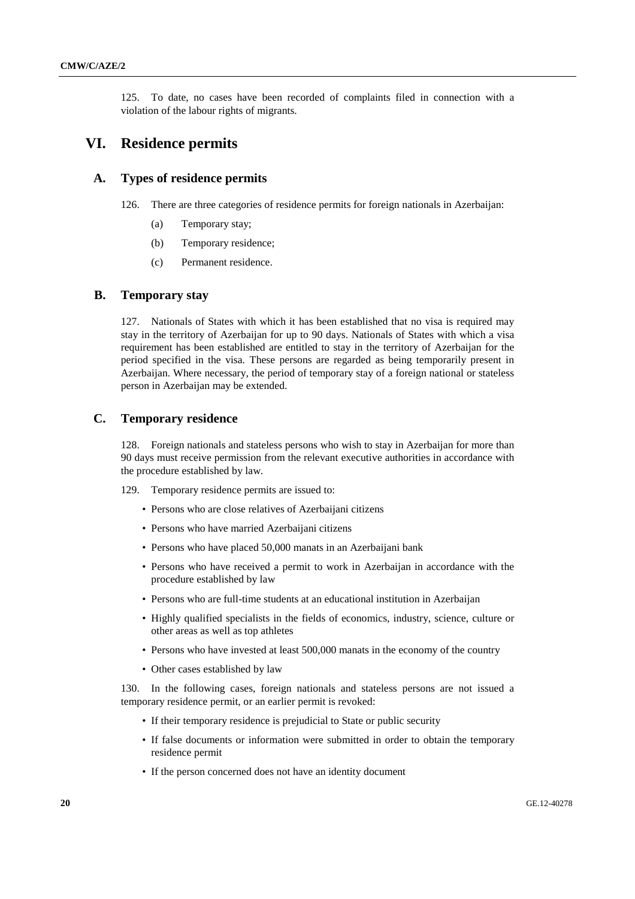125. To date, no cases have been recorded of complaints filed in connection with a violation of the labour rights of migrants.

### **VI. Residence permits**

#### **A. Types of residence permits**

- 126. There are three categories of residence permits for foreign nationals in Azerbaijan:
	- (a) Temporary stay;
	- (b) Temporary residence;
	- (c) Permanent residence.

### **B. Temporary stay**

127. Nationals of States with which it has been established that no visa is required may stay in the territory of Azerbaijan for up to 90 days. Nationals of States with which a visa requirement has been established are entitled to stay in the territory of Azerbaijan for the period specified in the visa. These persons are regarded as being temporarily present in Azerbaijan. Where necessary, the period of temporary stay of a foreign national or stateless person in Azerbaijan may be extended.

#### **C. Temporary residence**

128. Foreign nationals and stateless persons who wish to stay in Azerbaijan for more than 90 days must receive permission from the relevant executive authorities in accordance with the procedure established by law.

129. Temporary residence permits are issued to:

- Persons who are close relatives of Azerbaijani citizens
- Persons who have married Azerbaijani citizens
- Persons who have placed 50,000 manats in an Azerbaijani bank
- Persons who have received a permit to work in Azerbaijan in accordance with the procedure established by law
- Persons who are full-time students at an educational institution in Azerbaijan
- Highly qualified specialists in the fields of economics, industry, science, culture or other areas as well as top athletes
- Persons who have invested at least 500,000 manats in the economy of the country
- Other cases established by law

130. In the following cases, foreign nationals and stateless persons are not issued a temporary residence permit, or an earlier permit is revoked:

- If their temporary residence is prejudicial to State or public security
- If false documents or information were submitted in order to obtain the temporary residence permit
- If the person concerned does not have an identity document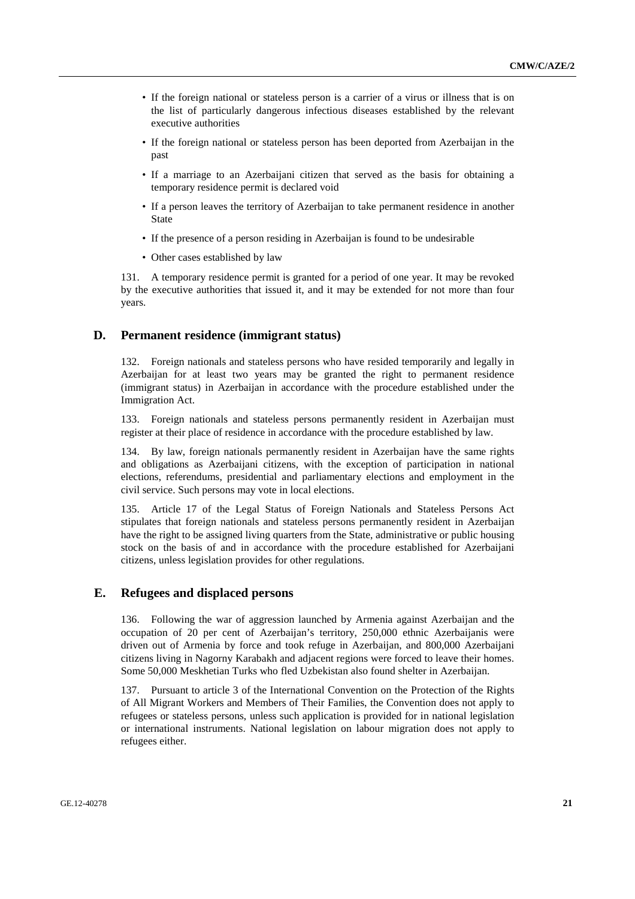- If the foreign national or stateless person is a carrier of a virus or illness that is on the list of particularly dangerous infectious diseases established by the relevant executive authorities
- If the foreign national or stateless person has been deported from Azerbaijan in the past
- If a marriage to an Azerbaijani citizen that served as the basis for obtaining a temporary residence permit is declared void
- If a person leaves the territory of Azerbaijan to take permanent residence in another State
- If the presence of a person residing in Azerbaijan is found to be undesirable
- Other cases established by law

131. A temporary residence permit is granted for a period of one year. It may be revoked by the executive authorities that issued it, and it may be extended for not more than four years.

#### **D. Permanent residence (immigrant status)**

132. Foreign nationals and stateless persons who have resided temporarily and legally in Azerbaijan for at least two years may be granted the right to permanent residence (immigrant status) in Azerbaijan in accordance with the procedure established under the Immigration Act.

133. Foreign nationals and stateless persons permanently resident in Azerbaijan must register at their place of residence in accordance with the procedure established by law.

134. By law, foreign nationals permanently resident in Azerbaijan have the same rights and obligations as Azerbaijani citizens, with the exception of participation in national elections, referendums, presidential and parliamentary elections and employment in the civil service. Such persons may vote in local elections.

135. Article 17 of the Legal Status of Foreign Nationals and Stateless Persons Act stipulates that foreign nationals and stateless persons permanently resident in Azerbaijan have the right to be assigned living quarters from the State, administrative or public housing stock on the basis of and in accordance with the procedure established for Azerbaijani citizens, unless legislation provides for other regulations.

#### **E. Refugees and displaced persons**

136. Following the war of aggression launched by Armenia against Azerbaijan and the occupation of 20 per cent of Azerbaijan's territory, 250,000 ethnic Azerbaijanis were driven out of Armenia by force and took refuge in Azerbaijan, and 800,000 Azerbaijani citizens living in Nagorny Karabakh and adjacent regions were forced to leave their homes. Some 50,000 Meskhetian Turks who fled Uzbekistan also found shelter in Azerbaijan.

137. Pursuant to article 3 of the International Convention on the Protection of the Rights of All Migrant Workers and Members of Their Families, the Convention does not apply to refugees or stateless persons, unless such application is provided for in national legislation or international instruments. National legislation on labour migration does not apply to refugees either.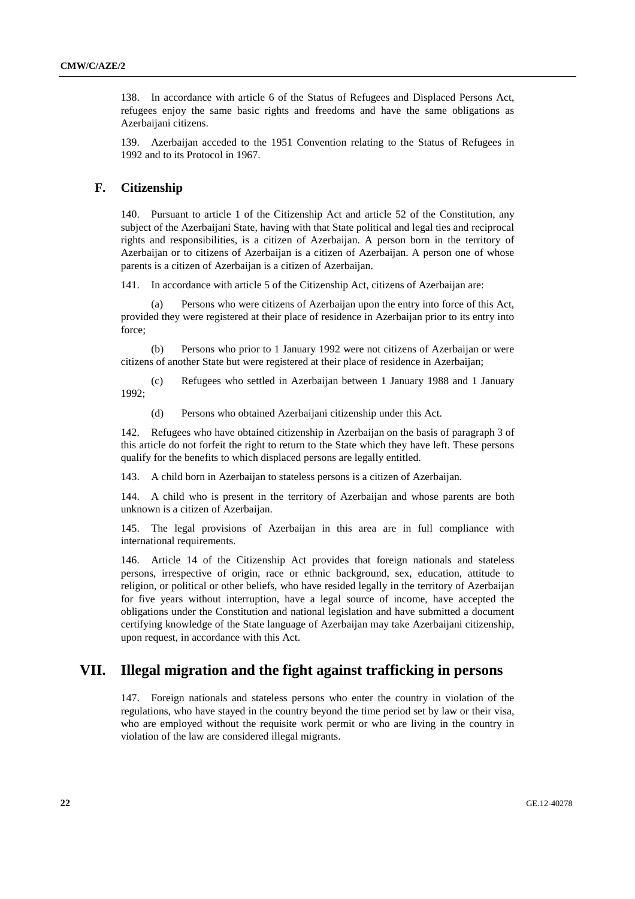138. In accordance with article 6 of the Status of Refugees and Displaced Persons Act, refugees enjoy the same basic rights and freedoms and have the same obligations as Azerbaijani citizens.

139. Azerbaijan acceded to the 1951 Convention relating to the Status of Refugees in 1992 and to its Protocol in 1967.

#### **F. Citizenship**

140. Pursuant to article 1 of the Citizenship Act and article 52 of the Constitution, any subject of the Azerbaijani State, having with that State political and legal ties and reciprocal rights and responsibilities, is a citizen of Azerbaijan. A person born in the territory of Azerbaijan or to citizens of Azerbaijan is a citizen of Azerbaijan. A person one of whose parents is a citizen of Azerbaijan is a citizen of Azerbaijan.

141. In accordance with article 5 of the Citizenship Act, citizens of Azerbaijan are:

 (a) Persons who were citizens of Azerbaijan upon the entry into force of this Act, provided they were registered at their place of residence in Azerbaijan prior to its entry into force;

 (b) Persons who prior to 1 January 1992 were not citizens of Azerbaijan or were citizens of another State but were registered at their place of residence in Azerbaijan;

 (c) Refugees who settled in Azerbaijan between 1 January 1988 and 1 January 1992;

(d) Persons who obtained Azerbaijani citizenship under this Act.

142. Refugees who have obtained citizenship in Azerbaijan on the basis of paragraph 3 of this article do not forfeit the right to return to the State which they have left. These persons qualify for the benefits to which displaced persons are legally entitled.

143. A child born in Azerbaijan to stateless persons is a citizen of Azerbaijan.

144. A child who is present in the territory of Azerbaijan and whose parents are both unknown is a citizen of Azerbaijan.

145. The legal provisions of Azerbaijan in this area are in full compliance with international requirements.

146. Article 14 of the Citizenship Act provides that foreign nationals and stateless persons, irrespective of origin, race or ethnic background, sex, education, attitude to religion, or political or other beliefs, who have resided legally in the territory of Azerbaijan for five years without interruption, have a legal source of income, have accepted the obligations under the Constitution and national legislation and have submitted a document certifying knowledge of the State language of Azerbaijan may take Azerbaijani citizenship, upon request, in accordance with this Act.

### **VII. Illegal migration and the fight against trafficking in persons**

147. Foreign nationals and stateless persons who enter the country in violation of the regulations, who have stayed in the country beyond the time period set by law or their visa, who are employed without the requisite work permit or who are living in the country in violation of the law are considered illegal migrants.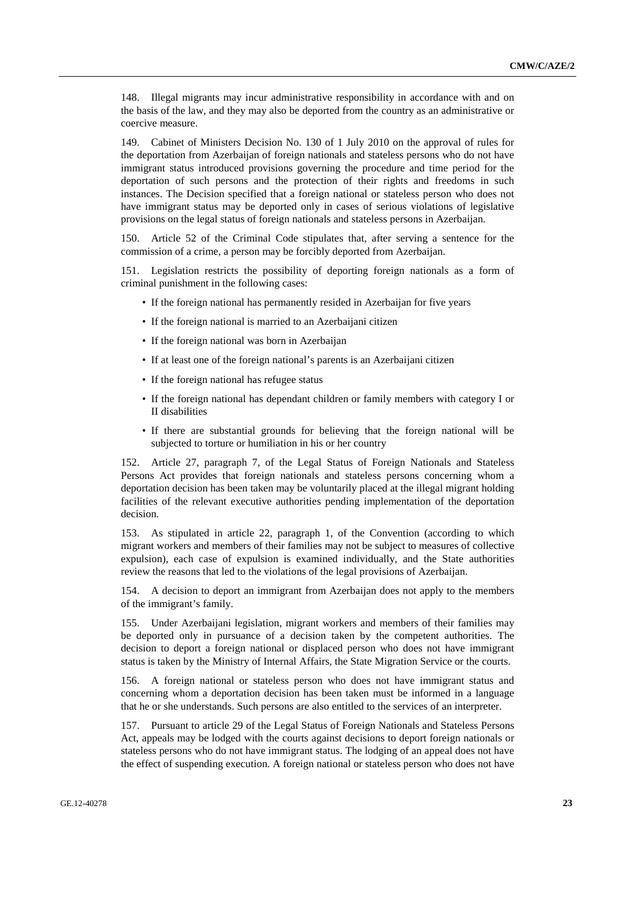148. Illegal migrants may incur administrative responsibility in accordance with and on the basis of the law, and they may also be deported from the country as an administrative or coercive measure.

149. Cabinet of Ministers Decision No. 130 of 1 July 2010 on the approval of rules for the deportation from Azerbaijan of foreign nationals and stateless persons who do not have immigrant status introduced provisions governing the procedure and time period for the deportation of such persons and the protection of their rights and freedoms in such instances. The Decision specified that a foreign national or stateless person who does not have immigrant status may be deported only in cases of serious violations of legislative provisions on the legal status of foreign nationals and stateless persons in Azerbaijan.

150. Article 52 of the Criminal Code stipulates that, after serving a sentence for the commission of a crime, a person may be forcibly deported from Azerbaijan.

151. Legislation restricts the possibility of deporting foreign nationals as a form of criminal punishment in the following cases:

- If the foreign national has permanently resided in Azerbaijan for five years
- If the foreign national is married to an Azerbaijani citizen
- If the foreign national was born in Azerbaijan
- If at least one of the foreign national's parents is an Azerbaijani citizen
- If the foreign national has refugee status
- If the foreign national has dependant children or family members with category I or II disabilities
- If there are substantial grounds for believing that the foreign national will be subjected to torture or humiliation in his or her country

152. Article 27, paragraph 7, of the Legal Status of Foreign Nationals and Stateless Persons Act provides that foreign nationals and stateless persons concerning whom a deportation decision has been taken may be voluntarily placed at the illegal migrant holding facilities of the relevant executive authorities pending implementation of the deportation decision.

153. As stipulated in article 22, paragraph 1, of the Convention (according to which migrant workers and members of their families may not be subject to measures of collective expulsion), each case of expulsion is examined individually, and the State authorities review the reasons that led to the violations of the legal provisions of Azerbaijan.

154. A decision to deport an immigrant from Azerbaijan does not apply to the members of the immigrant's family.

155. Under Azerbaijani legislation, migrant workers and members of their families may be deported only in pursuance of a decision taken by the competent authorities. The decision to deport a foreign national or displaced person who does not have immigrant status is taken by the Ministry of Internal Affairs, the State Migration Service or the courts.

156. A foreign national or stateless person who does not have immigrant status and concerning whom a deportation decision has been taken must be informed in a language that he or she understands. Such persons are also entitled to the services of an interpreter.

157. Pursuant to article 29 of the Legal Status of Foreign Nationals and Stateless Persons Act, appeals may be lodged with the courts against decisions to deport foreign nationals or stateless persons who do not have immigrant status. The lodging of an appeal does not have the effect of suspending execution. A foreign national or stateless person who does not have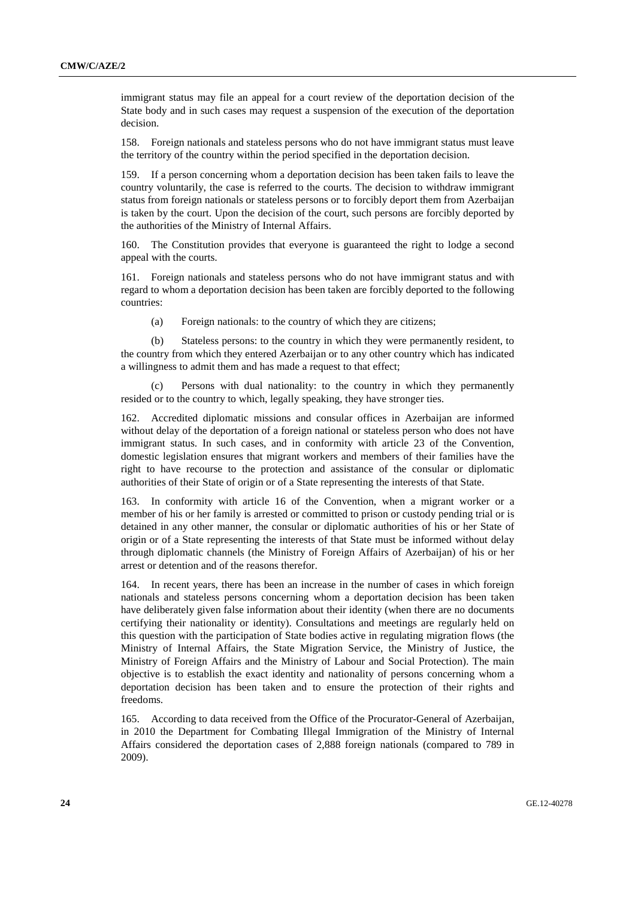immigrant status may file an appeal for a court review of the deportation decision of the State body and in such cases may request a suspension of the execution of the deportation decision.

158. Foreign nationals and stateless persons who do not have immigrant status must leave the territory of the country within the period specified in the deportation decision.

159. If a person concerning whom a deportation decision has been taken fails to leave the country voluntarily, the case is referred to the courts. The decision to withdraw immigrant status from foreign nationals or stateless persons or to forcibly deport them from Azerbaijan is taken by the court. Upon the decision of the court, such persons are forcibly deported by the authorities of the Ministry of Internal Affairs.

160. The Constitution provides that everyone is guaranteed the right to lodge a second appeal with the courts.

161. Foreign nationals and stateless persons who do not have immigrant status and with regard to whom a deportation decision has been taken are forcibly deported to the following countries:

(a) Foreign nationals: to the country of which they are citizens;

 (b) Stateless persons: to the country in which they were permanently resident, to the country from which they entered Azerbaijan or to any other country which has indicated a willingness to admit them and has made a request to that effect;

 (c) Persons with dual nationality: to the country in which they permanently resided or to the country to which, legally speaking, they have stronger ties.

162. Accredited diplomatic missions and consular offices in Azerbaijan are informed without delay of the deportation of a foreign national or stateless person who does not have immigrant status. In such cases, and in conformity with article 23 of the Convention, domestic legislation ensures that migrant workers and members of their families have the right to have recourse to the protection and assistance of the consular or diplomatic authorities of their State of origin or of a State representing the interests of that State.

163. In conformity with article 16 of the Convention, when a migrant worker or a member of his or her family is arrested or committed to prison or custody pending trial or is detained in any other manner, the consular or diplomatic authorities of his or her State of origin or of a State representing the interests of that State must be informed without delay through diplomatic channels (the Ministry of Foreign Affairs of Azerbaijan) of his or her arrest or detention and of the reasons therefor.

164. In recent years, there has been an increase in the number of cases in which foreign nationals and stateless persons concerning whom a deportation decision has been taken have deliberately given false information about their identity (when there are no documents certifying their nationality or identity). Consultations and meetings are regularly held on this question with the participation of State bodies active in regulating migration flows (the Ministry of Internal Affairs, the State Migration Service, the Ministry of Justice, the Ministry of Foreign Affairs and the Ministry of Labour and Social Protection). The main objective is to establish the exact identity and nationality of persons concerning whom a deportation decision has been taken and to ensure the protection of their rights and freedoms.

165. According to data received from the Office of the Procurator-General of Azerbaijan, in 2010 the Department for Combating Illegal Immigration of the Ministry of Internal Affairs considered the deportation cases of 2,888 foreign nationals (compared to 789 in 2009).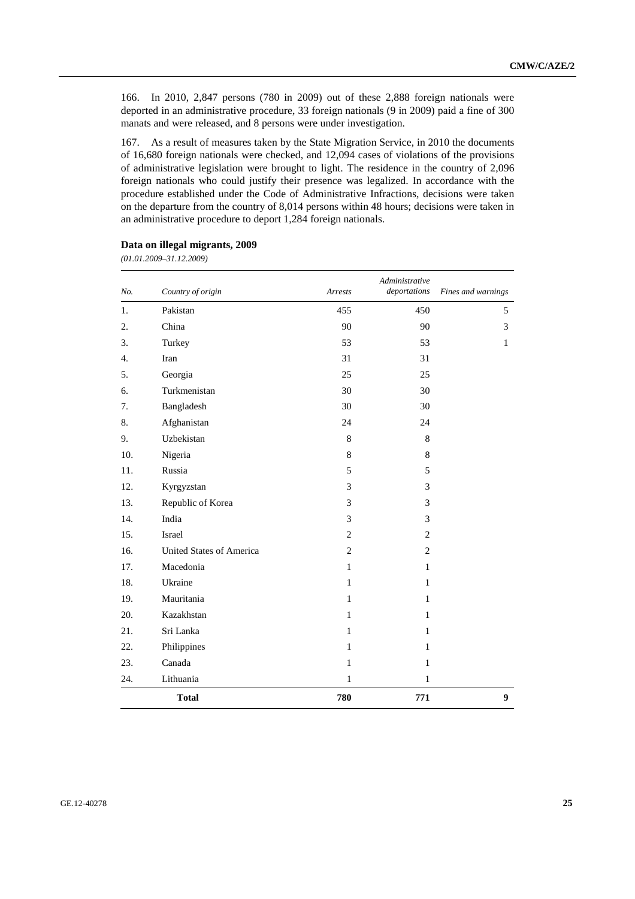166. In 2010, 2,847 persons (780 in 2009) out of these 2,888 foreign nationals were deported in an administrative procedure, 33 foreign nationals (9 in 2009) paid a fine of 300 manats and were released, and 8 persons were under investigation.

167. As a result of measures taken by the State Migration Service, in 2010 the documents of 16,680 foreign nationals were checked, and 12,094 cases of violations of the provisions of administrative legislation were brought to light. The residence in the country of 2,096 foreign nationals who could justify their presence was legalized. In accordance with the procedure established under the Code of Administrative Infractions, decisions were taken on the departure from the country of 8,014 persons within 48 hours; decisions were taken in an administrative procedure to deport 1,284 foreign nationals.

| No. | Country of origin        | Arrests        | Administrative<br>deportations | Fines and warnings |
|-----|--------------------------|----------------|--------------------------------|--------------------|
| 1.  | Pakistan                 | 455            | 450                            | 5                  |
| 2.  | China                    | 90             | 90                             | 3                  |
| 3.  | Turkey                   | 53             | 53                             | $\mathbf{1}$       |
| 4.  | Iran                     | 31             | 31                             |                    |
| 5.  | Georgia                  | 25             | 25                             |                    |
| 6.  | Turkmenistan             | 30             | 30                             |                    |
| 7.  | Bangladesh               | 30             | 30                             |                    |
| 8.  | Afghanistan              | 24             | 24                             |                    |
| 9.  | Uzbekistan               | 8              | $\,8\,$                        |                    |
| 10. | Nigeria                  | 8              | 8                              |                    |
| 11. | Russia                   | 5              | 5                              |                    |
| 12. | Kyrgyzstan               | 3              | 3                              |                    |
| 13. | Republic of Korea        | 3              | 3                              |                    |
| 14. | India                    | 3              | 3                              |                    |
| 15. | Israel                   | $\overline{c}$ | $\overline{c}$                 |                    |
| 16. | United States of America | $\overline{2}$ | $\overline{2}$                 |                    |
| 17. | Macedonia                | $\mathbf{1}$   | $\mathbf{1}$                   |                    |
| 18. | Ukraine                  | $\mathbf{1}$   | $\mathbf{1}$                   |                    |
| 19. | Mauritania               | $\mathbf{1}$   | $\mathbf{1}$                   |                    |
| 20. | Kazakhstan               | $\mathbf{1}$   | $\mathbf{1}$                   |                    |
| 21. | Sri Lanka                | $\mathbf{1}$   | $\mathbf{1}$                   |                    |
| 22. | Philippines              | $\mathbf{1}$   | $\mathbf{1}$                   |                    |
| 23. | Canada                   | $\mathbf{1}$   | $\mathbf{1}$                   |                    |
| 24. | Lithuania                | $\mathbf{1}$   | $\mathbf{1}$                   |                    |
|     | <b>Total</b>             | 780            | 771                            | 9                  |

#### **Data on illegal migrants, 2009**

*(01.01.2009–31.12.2009)*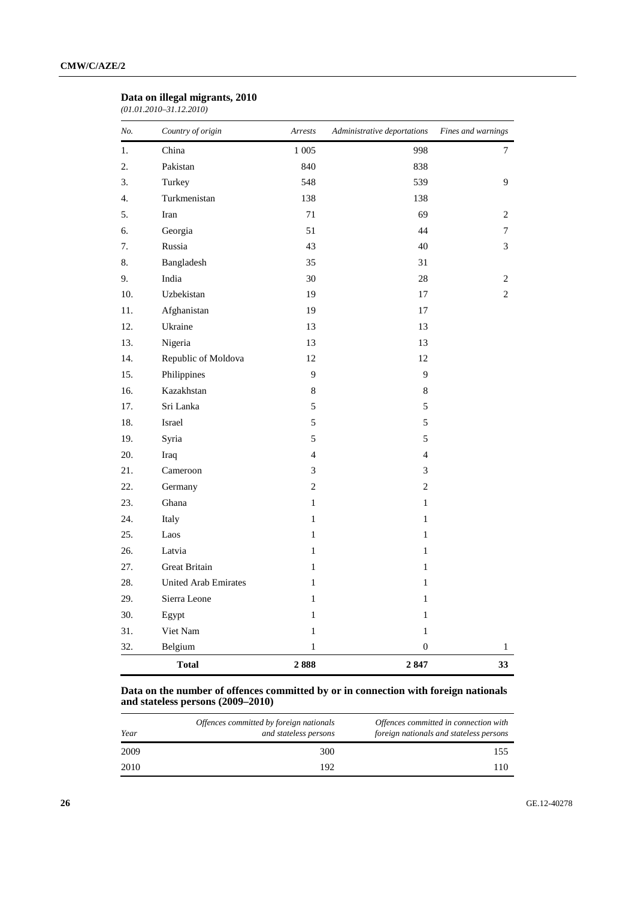#### **Data on illegal migrants, 2010**

*(01.01.2010–31.12.2010)* 

| No. | Country of origin           | Arrests                  | Administrative deportations | Fines and warnings |
|-----|-----------------------------|--------------------------|-----------------------------|--------------------|
| 1.  | China                       | 1 0 0 5                  | 998                         | 7                  |
| 2.  | Pakistan                    | 840                      | 838                         |                    |
| 3.  | Turkey                      | 548                      | 539                         | 9                  |
| 4.  | Turkmenistan                | 138                      | 138                         |                    |
| 5.  | Iran                        | 71                       | 69                          | 2                  |
| 6.  | Georgia                     | 51                       | 44                          | 7                  |
| 7.  | Russia                      | 43                       | 40                          | 3                  |
| 8.  | Bangladesh                  | 35                       | 31                          |                    |
| 9.  | India                       | 30                       | 28                          | 2                  |
| 10. | Uzbekistan                  | 19                       | 17                          | $\overline{c}$     |
| 11. | Afghanistan                 | 19                       | 17                          |                    |
| 12. | Ukraine                     | 13                       | 13                          |                    |
| 13. | Nigeria                     | 13                       | 13                          |                    |
| 14. | Republic of Moldova         | 12                       | 12                          |                    |
| 15. | Philippines                 | 9                        | 9                           |                    |
| 16. | Kazakhstan                  | $\,8\,$                  | 8                           |                    |
| 17. | Sri Lanka                   | 5                        | 5                           |                    |
| 18. | Israel                      | 5                        | 5                           |                    |
| 19. | Syria                       | 5                        | 5                           |                    |
| 20. | Iraq                        | $\overline{\mathcal{L}}$ | $\overline{4}$              |                    |
| 21. | Cameroon                    | 3                        | 3                           |                    |
| 22. | Germany                     | $\overline{c}$           | $\overline{2}$              |                    |
| 23. | Ghana                       | $\mathbf{1}$             | $\mathbf{1}$                |                    |
| 24. | Italy                       | $\mathbf{1}$             | $\mathbf{1}$                |                    |
| 25. | Laos                        | $\mathbf{1}$             | $\mathbf{1}$                |                    |
| 26. | Latvia                      | $\mathbf{1}$             | $\mathbf{1}$                |                    |
| 27. | Great Britain               | $\mathbf{1}$             | $\mathbf{1}$                |                    |
| 28. | <b>United Arab Emirates</b> | $\,1$                    | $\mathbf{1}$                |                    |
| 29. | Sierra Leone                | $\mathbf{1}$             | $\mathbf{1}$                |                    |
| 30. | Egypt                       | $\mathbf{1}$             | $\mathbf{1}$                |                    |
| 31. | Viet Nam                    | $\mathbf{1}$             | $\mathbf{1}$                |                    |
| 32. | Belgium                     | $\mathbf{1}$             | $\boldsymbol{0}$            | $\mathbf{1}$       |
|     | <b>Total</b>                | 2888                     | 2847                        | 33                 |

#### **Data on the number of offences committed by or in connection with foreign nationals and stateless persons (2009–2010)**

| Year | Offences committed by foreign nationals<br>and stateless persons | Offences committed in connection with<br>foreign nationals and stateless persons |
|------|------------------------------------------------------------------|----------------------------------------------------------------------------------|
| 2009 | 300                                                              | 155                                                                              |
| 2010 | 192                                                              | 110                                                                              |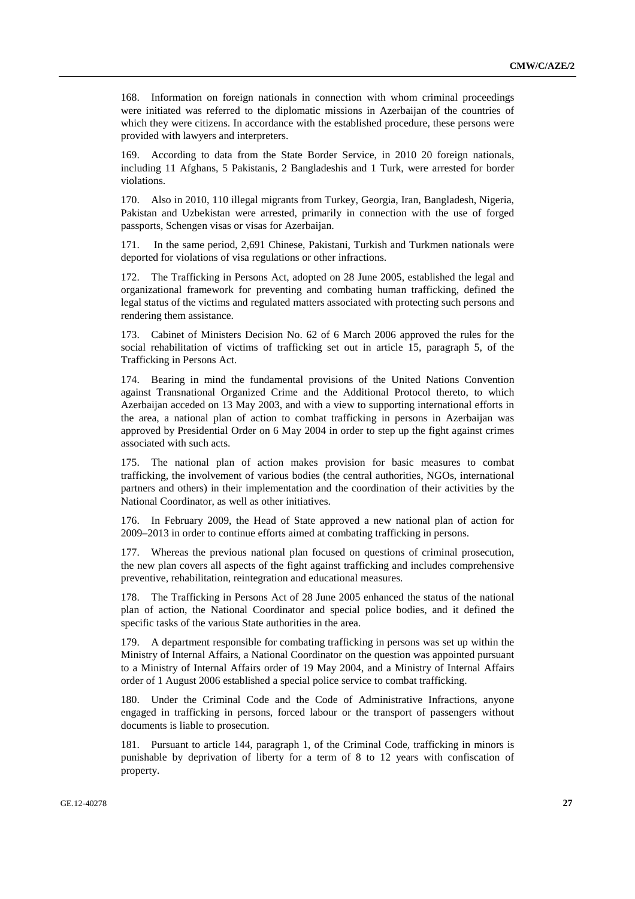168. Information on foreign nationals in connection with whom criminal proceedings were initiated was referred to the diplomatic missions in Azerbaijan of the countries of which they were citizens. In accordance with the established procedure, these persons were provided with lawyers and interpreters.

According to data from the State Border Service, in 2010 20 foreign nationals, including 11 Afghans, 5 Pakistanis, 2 Bangladeshis and 1 Turk, were arrested for border violations.

170. Also in 2010, 110 illegal migrants from Turkey, Georgia, Iran, Bangladesh, Nigeria, Pakistan and Uzbekistan were arrested, primarily in connection with the use of forged passports, Schengen visas or visas for Azerbaijan.

171. In the same period, 2,691 Chinese, Pakistani, Turkish and Turkmen nationals were deported for violations of visa regulations or other infractions.

172. The Trafficking in Persons Act, adopted on 28 June 2005, established the legal and organizational framework for preventing and combating human trafficking, defined the legal status of the victims and regulated matters associated with protecting such persons and rendering them assistance.

173. Cabinet of Ministers Decision No. 62 of 6 March 2006 approved the rules for the social rehabilitation of victims of trafficking set out in article 15, paragraph 5, of the Trafficking in Persons Act.

174. Bearing in mind the fundamental provisions of the United Nations Convention against Transnational Organized Crime and the Additional Protocol thereto, to which Azerbaijan acceded on 13 May 2003, and with a view to supporting international efforts in the area, a national plan of action to combat trafficking in persons in Azerbaijan was approved by Presidential Order on 6 May 2004 in order to step up the fight against crimes associated with such acts.

175. The national plan of action makes provision for basic measures to combat trafficking, the involvement of various bodies (the central authorities, NGOs, international partners and others) in their implementation and the coordination of their activities by the National Coordinator, as well as other initiatives.

176. In February 2009, the Head of State approved a new national plan of action for 2009–2013 in order to continue efforts aimed at combating trafficking in persons.

177. Whereas the previous national plan focused on questions of criminal prosecution, the new plan covers all aspects of the fight against trafficking and includes comprehensive preventive, rehabilitation, reintegration and educational measures.

178. The Trafficking in Persons Act of 28 June 2005 enhanced the status of the national plan of action, the National Coordinator and special police bodies, and it defined the specific tasks of the various State authorities in the area.

179. A department responsible for combating trafficking in persons was set up within the Ministry of Internal Affairs, a National Coordinator on the question was appointed pursuant to a Ministry of Internal Affairs order of 19 May 2004, and a Ministry of Internal Affairs order of 1 August 2006 established a special police service to combat trafficking.

180. Under the Criminal Code and the Code of Administrative Infractions, anyone engaged in trafficking in persons, forced labour or the transport of passengers without documents is liable to prosecution.

181. Pursuant to article 144, paragraph 1, of the Criminal Code, trafficking in minors is punishable by deprivation of liberty for a term of 8 to 12 years with confiscation of property.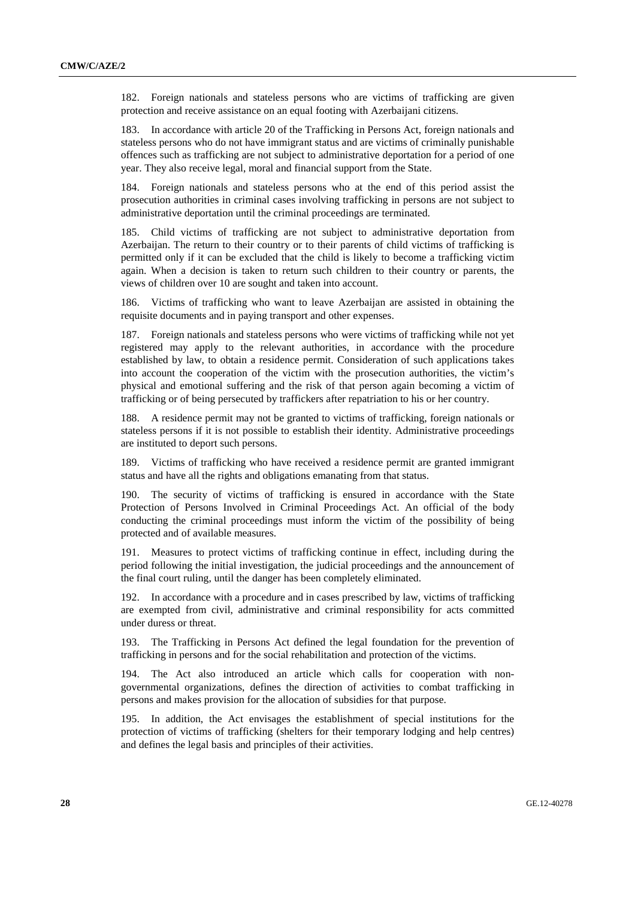182. Foreign nationals and stateless persons who are victims of trafficking are given protection and receive assistance on an equal footing with Azerbaijani citizens.

183. In accordance with article 20 of the Trafficking in Persons Act, foreign nationals and stateless persons who do not have immigrant status and are victims of criminally punishable offences such as trafficking are not subject to administrative deportation for a period of one year. They also receive legal, moral and financial support from the State.

184. Foreign nationals and stateless persons who at the end of this period assist the prosecution authorities in criminal cases involving trafficking in persons are not subject to administrative deportation until the criminal proceedings are terminated.

185. Child victims of trafficking are not subject to administrative deportation from Azerbaijan. The return to their country or to their parents of child victims of trafficking is permitted only if it can be excluded that the child is likely to become a trafficking victim again. When a decision is taken to return such children to their country or parents, the views of children over 10 are sought and taken into account.

186. Victims of trafficking who want to leave Azerbaijan are assisted in obtaining the requisite documents and in paying transport and other expenses.

187. Foreign nationals and stateless persons who were victims of trafficking while not yet registered may apply to the relevant authorities, in accordance with the procedure established by law, to obtain a residence permit. Consideration of such applications takes into account the cooperation of the victim with the prosecution authorities, the victim's physical and emotional suffering and the risk of that person again becoming a victim of trafficking or of being persecuted by traffickers after repatriation to his or her country.

188. A residence permit may not be granted to victims of trafficking, foreign nationals or stateless persons if it is not possible to establish their identity. Administrative proceedings are instituted to deport such persons.

189. Victims of trafficking who have received a residence permit are granted immigrant status and have all the rights and obligations emanating from that status.

190. The security of victims of trafficking is ensured in accordance with the State Protection of Persons Involved in Criminal Proceedings Act. An official of the body conducting the criminal proceedings must inform the victim of the possibility of being protected and of available measures.

191. Measures to protect victims of trafficking continue in effect, including during the period following the initial investigation, the judicial proceedings and the announcement of the final court ruling, until the danger has been completely eliminated.

192. In accordance with a procedure and in cases prescribed by law, victims of trafficking are exempted from civil, administrative and criminal responsibility for acts committed under duress or threat.

193. The Trafficking in Persons Act defined the legal foundation for the prevention of trafficking in persons and for the social rehabilitation and protection of the victims.

194. The Act also introduced an article which calls for cooperation with nongovernmental organizations, defines the direction of activities to combat trafficking in persons and makes provision for the allocation of subsidies for that purpose.

195. In addition, the Act envisages the establishment of special institutions for the protection of victims of trafficking (shelters for their temporary lodging and help centres) and defines the legal basis and principles of their activities.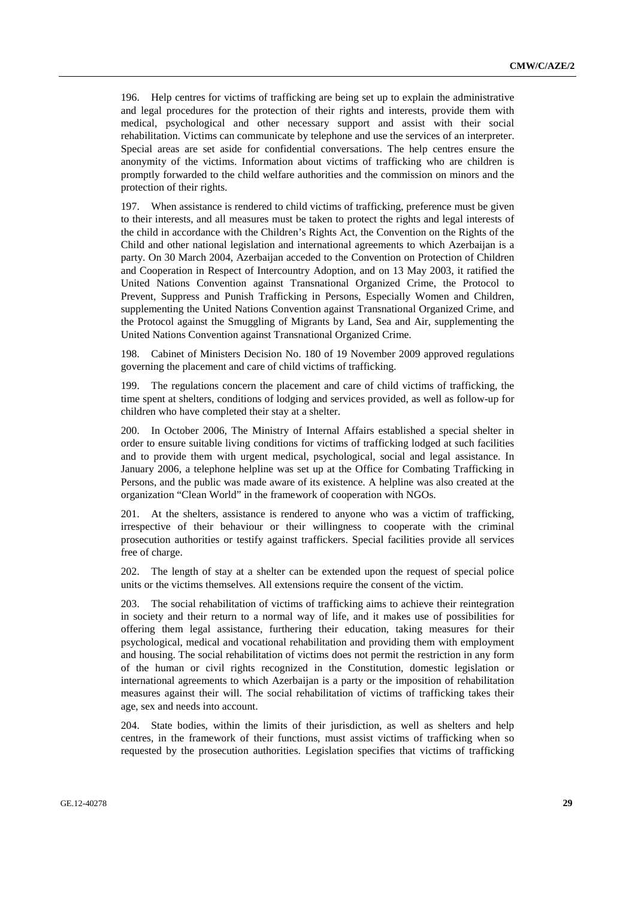196. Help centres for victims of trafficking are being set up to explain the administrative and legal procedures for the protection of their rights and interests, provide them with medical, psychological and other necessary support and assist with their social rehabilitation. Victims can communicate by telephone and use the services of an interpreter. Special areas are set aside for confidential conversations. The help centres ensure the anonymity of the victims. Information about victims of trafficking who are children is promptly forwarded to the child welfare authorities and the commission on minors and the protection of their rights.

197. When assistance is rendered to child victims of trafficking, preference must be given to their interests, and all measures must be taken to protect the rights and legal interests of the child in accordance with the Children's Rights Act, the Convention on the Rights of the Child and other national legislation and international agreements to which Azerbaijan is a party. On 30 March 2004, Azerbaijan acceded to the Convention on Protection of Children and Cooperation in Respect of Intercountry Adoption, and on 13 May 2003, it ratified the United Nations Convention against Transnational Organized Crime, the Protocol to Prevent, Suppress and Punish Trafficking in Persons, Especially Women and Children, supplementing the United Nations Convention against Transnational Organized Crime, and the Protocol against the Smuggling of Migrants by Land, Sea and Air, supplementing the United Nations Convention against Transnational Organized Crime.

198. Cabinet of Ministers Decision No. 180 of 19 November 2009 approved regulations governing the placement and care of child victims of trafficking.

199. The regulations concern the placement and care of child victims of trafficking, the time spent at shelters, conditions of lodging and services provided, as well as follow-up for children who have completed their stay at a shelter.

200. In October 2006, The Ministry of Internal Affairs established a special shelter in order to ensure suitable living conditions for victims of trafficking lodged at such facilities and to provide them with urgent medical, psychological, social and legal assistance. In January 2006, a telephone helpline was set up at the Office for Combating Trafficking in Persons, and the public was made aware of its existence. A helpline was also created at the organization "Clean World" in the framework of cooperation with NGOs.

201. At the shelters, assistance is rendered to anyone who was a victim of trafficking, irrespective of their behaviour or their willingness to cooperate with the criminal prosecution authorities or testify against traffickers. Special facilities provide all services free of charge.

202. The length of stay at a shelter can be extended upon the request of special police units or the victims themselves. All extensions require the consent of the victim.

203. The social rehabilitation of victims of trafficking aims to achieve their reintegration in society and their return to a normal way of life, and it makes use of possibilities for offering them legal assistance, furthering their education, taking measures for their psychological, medical and vocational rehabilitation and providing them with employment and housing. The social rehabilitation of victims does not permit the restriction in any form of the human or civil rights recognized in the Constitution, domestic legislation or international agreements to which Azerbaijan is a party or the imposition of rehabilitation measures against their will. The social rehabilitation of victims of trafficking takes their age, sex and needs into account.

204. State bodies, within the limits of their jurisdiction, as well as shelters and help centres, in the framework of their functions, must assist victims of trafficking when so requested by the prosecution authorities. Legislation specifies that victims of trafficking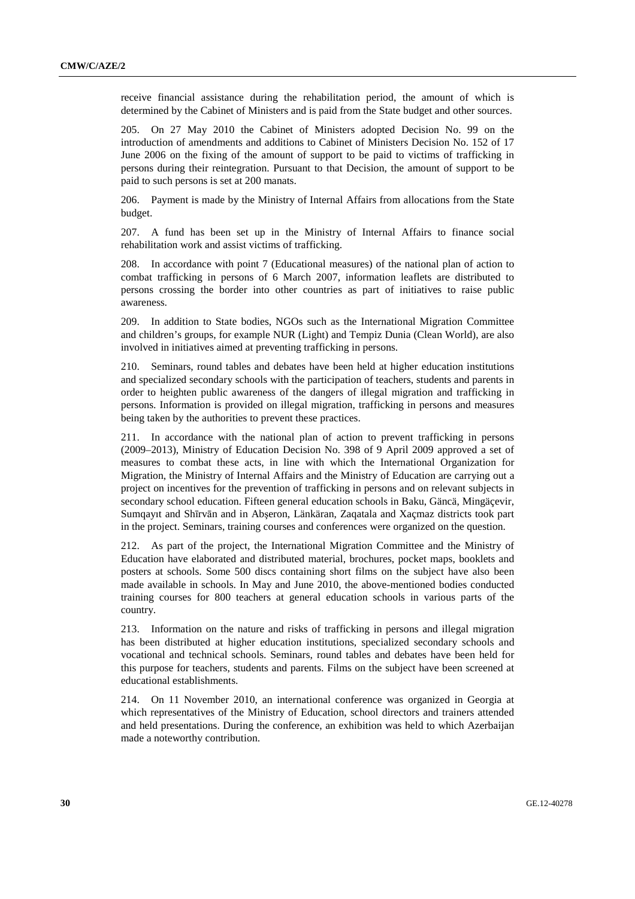receive financial assistance during the rehabilitation period, the amount of which is determined by the Cabinet of Ministers and is paid from the State budget and other sources.

205. On 27 May 2010 the Cabinet of Ministers adopted Decision No. 99 on the introduction of amendments and additions to Cabinet of Ministers Decision No. 152 of 17 June 2006 on the fixing of the amount of support to be paid to victims of trafficking in persons during their reintegration. Pursuant to that Decision, the amount of support to be paid to such persons is set at 200 manats.

206. Payment is made by the Ministry of Internal Affairs from allocations from the State budget.

207. A fund has been set up in the Ministry of Internal Affairs to finance social rehabilitation work and assist victims of trafficking.

208. In accordance with point 7 (Educational measures) of the national plan of action to combat trafficking in persons of 6 March 2007, information leaflets are distributed to persons crossing the border into other countries as part of initiatives to raise public awareness.

209. In addition to State bodies, NGOs such as the International Migration Committee and children's groups, for example NUR (Light) and Tempiz Dunia (Clean World), are also involved in initiatives aimed at preventing trafficking in persons.

210. Seminars, round tables and debates have been held at higher education institutions and specialized secondary schools with the participation of teachers, students and parents in order to heighten public awareness of the dangers of illegal migration and trafficking in persons. Information is provided on illegal migration, trafficking in persons and measures being taken by the authorities to prevent these practices.

211. In accordance with the national plan of action to prevent trafficking in persons (2009–2013), Ministry of Education Decision No. 398 of 9 April 2009 approved a set of measures to combat these acts, in line with which the International Organization for Migration, the Ministry of Internal Affairs and the Ministry of Education are carrying out a project on incentives for the prevention of trafficking in persons and on relevant subjects in secondary school education. Fifteen general education schools in Baku, Gäncä, Mingäçevir, Sumqayıt and Shīrvān and in Abşeron, Länkäran, Zaqatala and Xaçmaz districts took part in the project. Seminars, training courses and conferences were organized on the question.

212. As part of the project, the International Migration Committee and the Ministry of Education have elaborated and distributed material, brochures, pocket maps, booklets and posters at schools. Some 500 discs containing short films on the subject have also been made available in schools. In May and June 2010, the above-mentioned bodies conducted training courses for 800 teachers at general education schools in various parts of the country.

213. Information on the nature and risks of trafficking in persons and illegal migration has been distributed at higher education institutions, specialized secondary schools and vocational and technical schools. Seminars, round tables and debates have been held for this purpose for teachers, students and parents. Films on the subject have been screened at educational establishments.

214. On 11 November 2010, an international conference was organized in Georgia at which representatives of the Ministry of Education, school directors and trainers attended and held presentations. During the conference, an exhibition was held to which Azerbaijan made a noteworthy contribution.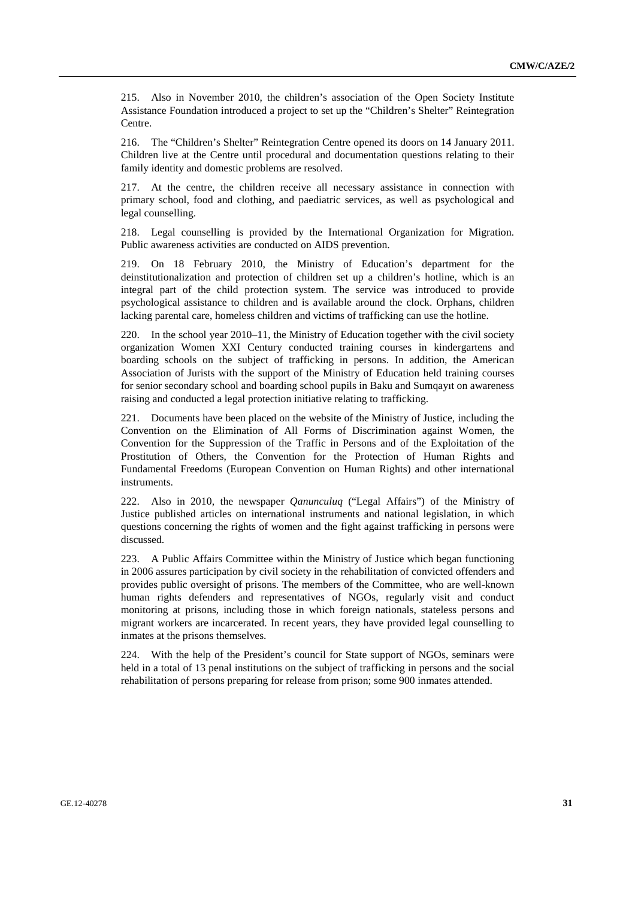215. Also in November 2010, the children's association of the Open Society Institute Assistance Foundation introduced a project to set up the "Children's Shelter" Reintegration Centre.

216. The "Children's Shelter" Reintegration Centre opened its doors on 14 January 2011. Children live at the Centre until procedural and documentation questions relating to their family identity and domestic problems are resolved.

217. At the centre, the children receive all necessary assistance in connection with primary school, food and clothing, and paediatric services, as well as psychological and legal counselling.

218. Legal counselling is provided by the International Organization for Migration. Public awareness activities are conducted on AIDS prevention.

219. On 18 February 2010, the Ministry of Education's department for the deinstitutionalization and protection of children set up a children's hotline, which is an integral part of the child protection system. The service was introduced to provide psychological assistance to children and is available around the clock. Orphans, children lacking parental care, homeless children and victims of trafficking can use the hotline.

220. In the school year 2010–11, the Ministry of Education together with the civil society organization Women XXI Century conducted training courses in kindergartens and boarding schools on the subject of trafficking in persons. In addition, the American Association of Jurists with the support of the Ministry of Education held training courses for senior secondary school and boarding school pupils in Baku and Sumqayıt on awareness raising and conducted a legal protection initiative relating to trafficking.

221. Documents have been placed on the website of the Ministry of Justice, including the Convention on the Elimination of All Forms of Discrimination against Women, the Convention for the Suppression of the Traffic in Persons and of the Exploitation of the Prostitution of Others, the Convention for the Protection of Human Rights and Fundamental Freedoms (European Convention on Human Rights) and other international instruments.

222. Also in 2010, the newspaper *Qanunculuq* ("Legal Affairs") of the Ministry of Justice published articles on international instruments and national legislation, in which questions concerning the rights of women and the fight against trafficking in persons were discussed.

223. A Public Affairs Committee within the Ministry of Justice which began functioning in 2006 assures participation by civil society in the rehabilitation of convicted offenders and provides public oversight of prisons. The members of the Committee, who are well-known human rights defenders and representatives of NGOs, regularly visit and conduct monitoring at prisons, including those in which foreign nationals, stateless persons and migrant workers are incarcerated. In recent years, they have provided legal counselling to inmates at the prisons themselves.

224. With the help of the President's council for State support of NGOs, seminars were held in a total of 13 penal institutions on the subject of trafficking in persons and the social rehabilitation of persons preparing for release from prison; some 900 inmates attended.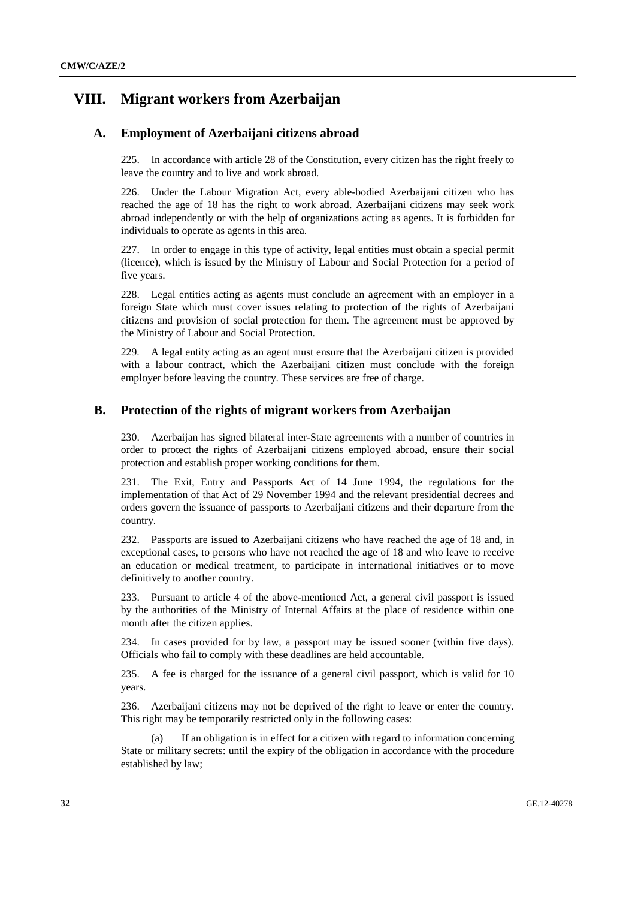# **VIII. Migrant workers from Azerbaijan**

### **A. Employment of Azerbaijani citizens abroad**

225. In accordance with article 28 of the Constitution, every citizen has the right freely to leave the country and to live and work abroad.

226. Under the Labour Migration Act, every able-bodied Azerbaijani citizen who has reached the age of 18 has the right to work abroad. Azerbaijani citizens may seek work abroad independently or with the help of organizations acting as agents. It is forbidden for individuals to operate as agents in this area.

227. In order to engage in this type of activity, legal entities must obtain a special permit (licence), which is issued by the Ministry of Labour and Social Protection for a period of five years.

228. Legal entities acting as agents must conclude an agreement with an employer in a foreign State which must cover issues relating to protection of the rights of Azerbaijani citizens and provision of social protection for them. The agreement must be approved by the Ministry of Labour and Social Protection.

229. A legal entity acting as an agent must ensure that the Azerbaijani citizen is provided with a labour contract, which the Azerbaijani citizen must conclude with the foreign employer before leaving the country. These services are free of charge.

#### **B. Protection of the rights of migrant workers from Azerbaijan**

230. Azerbaijan has signed bilateral inter-State agreements with a number of countries in order to protect the rights of Azerbaijani citizens employed abroad, ensure their social protection and establish proper working conditions for them.

231. The Exit, Entry and Passports Act of 14 June 1994, the regulations for the implementation of that Act of 29 November 1994 and the relevant presidential decrees and orders govern the issuance of passports to Azerbaijani citizens and their departure from the country.

232. Passports are issued to Azerbaijani citizens who have reached the age of 18 and, in exceptional cases, to persons who have not reached the age of 18 and who leave to receive an education or medical treatment, to participate in international initiatives or to move definitively to another country.

233. Pursuant to article 4 of the above-mentioned Act, a general civil passport is issued by the authorities of the Ministry of Internal Affairs at the place of residence within one month after the citizen applies.

234. In cases provided for by law, a passport may be issued sooner (within five days). Officials who fail to comply with these deadlines are held accountable.

235. A fee is charged for the issuance of a general civil passport, which is valid for 10 years.

236. Azerbaijani citizens may not be deprived of the right to leave or enter the country. This right may be temporarily restricted only in the following cases:

 (a) If an obligation is in effect for a citizen with regard to information concerning State or military secrets: until the expiry of the obligation in accordance with the procedure established by law;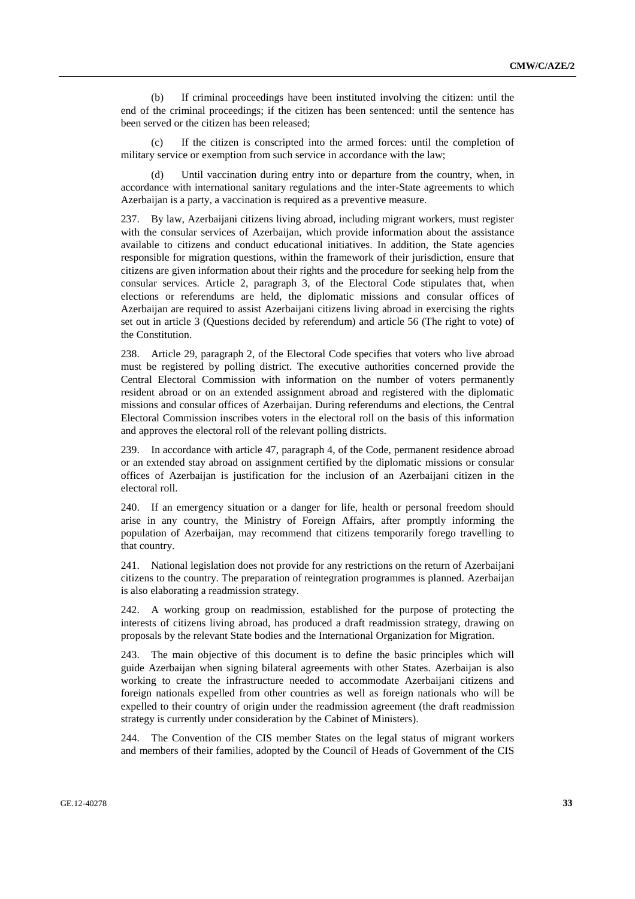(b) If criminal proceedings have been instituted involving the citizen: until the end of the criminal proceedings; if the citizen has been sentenced: until the sentence has been served or the citizen has been released;

If the citizen is conscripted into the armed forces: until the completion of military service or exemption from such service in accordance with the law;

 (d) Until vaccination during entry into or departure from the country, when, in accordance with international sanitary regulations and the inter-State agreements to which Azerbaijan is a party, a vaccination is required as a preventive measure.

237. By law, Azerbaijani citizens living abroad, including migrant workers, must register with the consular services of Azerbaijan, which provide information about the assistance available to citizens and conduct educational initiatives. In addition, the State agencies responsible for migration questions, within the framework of their jurisdiction, ensure that citizens are given information about their rights and the procedure for seeking help from the consular services. Article 2, paragraph 3, of the Electoral Code stipulates that, when elections or referendums are held, the diplomatic missions and consular offices of Azerbaijan are required to assist Azerbaijani citizens living abroad in exercising the rights set out in article 3 (Questions decided by referendum) and article 56 (The right to vote) of the Constitution.

238. Article 29, paragraph 2, of the Electoral Code specifies that voters who live abroad must be registered by polling district. The executive authorities concerned provide the Central Electoral Commission with information on the number of voters permanently resident abroad or on an extended assignment abroad and registered with the diplomatic missions and consular offices of Azerbaijan. During referendums and elections, the Central Electoral Commission inscribes voters in the electoral roll on the basis of this information and approves the electoral roll of the relevant polling districts.

239. In accordance with article 47, paragraph 4, of the Code, permanent residence abroad or an extended stay abroad on assignment certified by the diplomatic missions or consular offices of Azerbaijan is justification for the inclusion of an Azerbaijani citizen in the electoral roll.

240. If an emergency situation or a danger for life, health or personal freedom should arise in any country, the Ministry of Foreign Affairs, after promptly informing the population of Azerbaijan, may recommend that citizens temporarily forego travelling to that country.

241. National legislation does not provide for any restrictions on the return of Azerbaijani citizens to the country. The preparation of reintegration programmes is planned. Azerbaijan is also elaborating a readmission strategy.

242. A working group on readmission, established for the purpose of protecting the interests of citizens living abroad, has produced a draft readmission strategy, drawing on proposals by the relevant State bodies and the International Organization for Migration.

243. The main objective of this document is to define the basic principles which will guide Azerbaijan when signing bilateral agreements with other States. Azerbaijan is also working to create the infrastructure needed to accommodate Azerbaijani citizens and foreign nationals expelled from other countries as well as foreign nationals who will be expelled to their country of origin under the readmission agreement (the draft readmission strategy is currently under consideration by the Cabinet of Ministers).

244. The Convention of the CIS member States on the legal status of migrant workers and members of their families, adopted by the Council of Heads of Government of the CIS